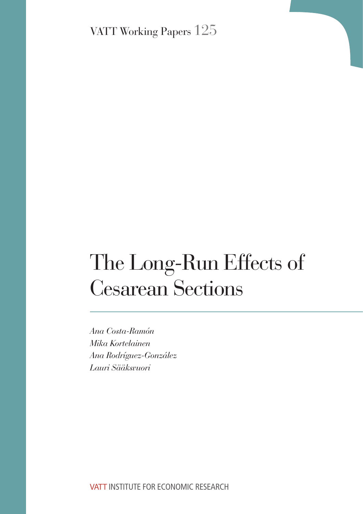VATT Working Papers 125

# The Long-Run Effects of Cesarean Sections

*Ana Costa-Ramón Mika Kortelainen Ana Rodríguez-González Lauri Sääksvuori*

VATT INSTITUTE FOR ECONOMIC RESEARCH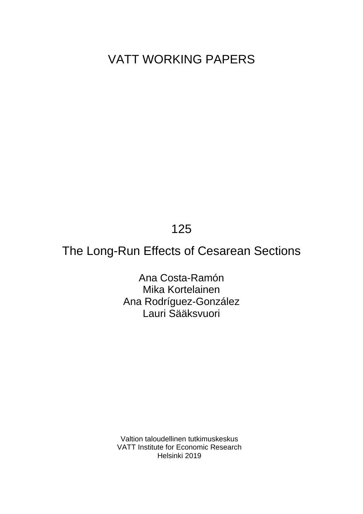# VATT WORKING PAPERS

125

# The Long-Run Effects of Cesarean Sections

Ana Costa-Ramón Mika Kortelainen Ana Rodríguez-González Lauri Sääksvuori

Valtion taloudellinen tutkimuskeskus VATT Institute for Economic Research Helsinki 2019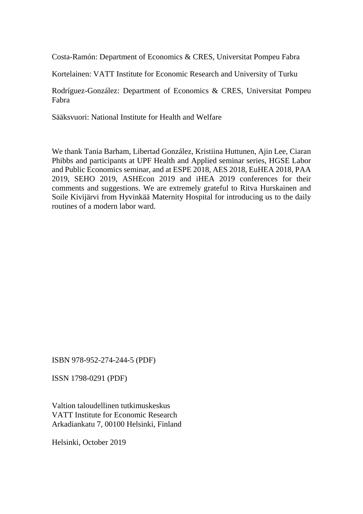Costa-Ramón: Department of Economics & CRES, Universitat Pompeu Fabra

Kortelainen: VATT Institute for Economic Research and University of Turku

Rodríguez-González: Department of Economics & CRES, Universitat Pompeu Fabra

Sääksvuori: National Institute for Health and Welfare

We thank Tania Barham, Libertad González, Kristiina Huttunen, Ajin Lee, Ciaran Phibbs and participants at UPF Health and Applied seminar series, HGSE Labor and Public Economics seminar, and at ESPE 2018, AES 2018, EuHEA 2018, PAA 2019, SEHO 2019, ASHEcon 2019 and iHEA 2019 conferences for their comments and suggestions. We are extremely grateful to Ritva Hurskainen and Soile Kivijärvi from Hyvinkää Maternity Hospital for introducing us to the daily routines of a modern labor ward.

ISBN 978-952-274-244-5 (PDF)

ISSN 1798-0291 (PDF)

Valtion taloudellinen tutkimuskeskus VATT Institute for Economic Research Arkadiankatu 7, 00100 Helsinki, Finland

Helsinki, October 2019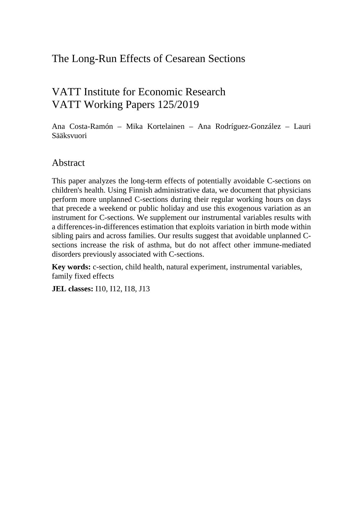### The Long-Run Effects of Cesarean Sections

## VATT Institute for Economic Research VATT Working Papers 125/2019

Ana Costa-Ramón – Mika Kortelainen – Ana Rodríguez-González – Lauri Sääksvuori

### Abstract

This paper analyzes the long-term effects of potentially avoidable C-sections on children's health. Using Finnish administrative data, we document that physicians perform more unplanned C-sections during their regular working hours on days that precede a weekend or public holiday and use this exogenous variation as an instrument for C-sections. We supplement our instrumental variables results with a differences-in-differences estimation that exploits variation in birth mode within sibling pairs and across families. Our results suggest that avoidable unplanned Csections increase the risk of asthma, but do not affect other immune-mediated disorders previously associated with C-sections.

**Key words:** c-section, child health, natural experiment, instrumental variables, family fixed effects

**JEL classes:** I10, I12, I18, J13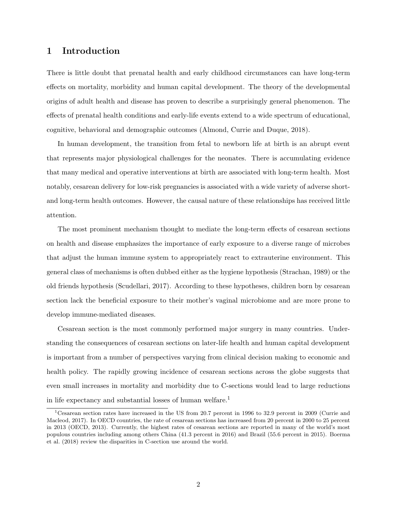#### 1 Introduction

There is little doubt that prenatal health and early childhood circumstances can have long-term effects on mortality, morbidity and human capital development. The theory of the developmental origins of adult health and disease has proven to describe a surprisingly general phenomenon. The effects of prenatal health conditions and early-life events extend to a wide spectrum of educational, cognitive, behavioral and demographic outcomes (Almond, Currie and Duque, 2018).

In human development, the transition from fetal to newborn life at birth is an abrupt event that represents major physiological challenges for the neonates. There is accumulating evidence that many medical and operative interventions at birth are associated with long-term health. Most notably, cesarean delivery for low-risk pregnancies is associated with a wide variety of adverse shortand long-term health outcomes. However, the causal nature of these relationships has received little attention.

The most prominent mechanism thought to mediate the long-term effects of cesarean sections on health and disease emphasizes the importance of early exposure to a diverse range of microbes that adjust the human immune system to appropriately react to extrauterine environment. This general class of mechanisms is often dubbed either as the hygiene hypothesis (Strachan, 1989) or the old friends hypothesis (Scudellari, 2017). According to these hypotheses, children born by cesarean section lack the beneficial exposure to their mother's vaginal microbiome and are more prone to develop immune-mediated diseases.

Cesarean section is the most commonly performed major surgery in many countries. Understanding the consequences of cesarean sections on later-life health and human capital development is important from a number of perspectives varying from clinical decision making to economic and health policy. The rapidly growing incidence of cesarean sections across the globe suggests that even small increases in mortality and morbidity due to C-sections would lead to large reductions in life expectancy and substantial losses of human welfare.<sup>1</sup>

<sup>1</sup>Cesarean section rates have increased in the US from 20.7 percent in 1996 to 32.9 percent in 2009 (Currie and Macleod, 2017). In OECD countries, the rate of cesarean sections has increased from 20 percent in 2000 to 25 percent in 2013 (OECD, 2013). Currently, the highest rates of cesarean sections are reported in many of the world's most populous countries including among others China (41.3 percent in 2016) and Brazil (55.6 percent in 2015). Boerma et al. (2018) review the disparities in C-section use around the world.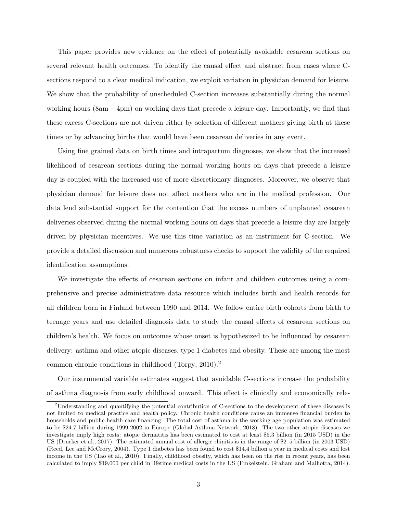This paper provides new evidence on the effect of potentially avoidable cesarean sections on several relevant health outcomes. To identify the causal effect and abstract from cases where Csections respond to a clear medical indication, we exploit variation in physician demand for leisure. We show that the probability of unscheduled C-section increases substantially during the normal working hours (8am – 4pm) on working days that precede a leisure day. Importantly, we find that these excess C-sections are not driven either by selection of different mothers giving birth at these times or by advancing births that would have been cesarean deliveries in any event.

Using fine grained data on birth times and intrapartum diagnoses, we show that the increased likelihood of cesarean sections during the normal working hours on days that precede a leisure day is coupled with the increased use of more discretionary diagnoses. Moreover, we observe that physician demand for leisure does not affect mothers who are in the medical profession. Our data lend substantial support for the contention that the excess numbers of unplanned cesarean deliveries observed during the normal working hours on days that precede a leisure day are largely driven by physician incentives. We use this time variation as an instrument for C-section. We provide a detailed discussion and numerous robustness checks to support the validity of the required identification assumptions.

We investigate the effects of cesarean sections on infant and children outcomes using a comprehensive and precise administrative data resource which includes birth and health records for all children born in Finland between 1990 and 2014. We follow entire birth cohorts from birth to teenage years and use detailed diagnosis data to study the causal effects of cesarean sections on children's health. We focus on outcomes whose onset is hypothesized to be influenced by cesarean delivery: asthma and other atopic diseases, type 1 diabetes and obesity. These are among the most common chronic conditions in childhood (Torpy, 2010).<sup>2</sup>

Our instrumental variable estimates suggest that avoidable C-sections increase the probability of asthma diagnosis from early childhood onward. This effect is clinically and economically rele-

<sup>2</sup>Understanding and quantifying the potential contribution of C-sections to the development of these diseases is not limited to medical practice and health policy. Chronic health conditions cause an immense financial burden to households and public health care financing. The total cost of asthma in the working age population was estimated to be \$24.7 billion during 1999-2002 in Europe (Global Asthma Network, 2018). The two other atopic diseases we investigate imply high costs: atopic dermatitis has been estimated to cost at least \$5.3 billion (in 2015 USD) in the US (Drucker et al., 2017). The estimated annual cost of allergic rhinitis is in the range of \$2–5 billion (in 2003 USD) (Reed, Lee and McCrory, 2004). Type 1 diabetes has been found to cost \$14.4 billion a year in medical costs and lost income in the US (Tao et al., 2010). Finally, childhood obesity, which has been on the rise in recent years, has been calculated to imply \$19,000 per child in lifetime medical costs in the US (Finkelstein, Graham and Malhotra, 2014).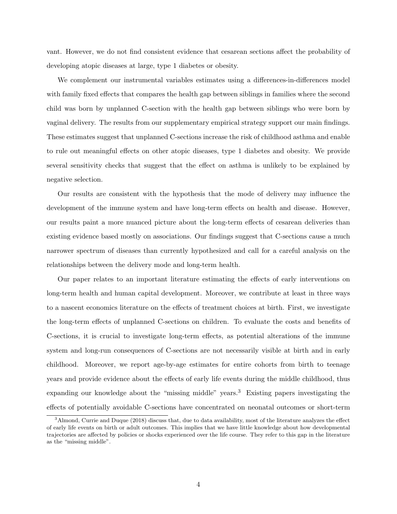vant. However, we do not find consistent evidence that cesarean sections affect the probability of developing atopic diseases at large, type 1 diabetes or obesity.

We complement our instrumental variables estimates using a differences-in-differences model with family fixed effects that compares the health gap between siblings in families where the second child was born by unplanned C-section with the health gap between siblings who were born by vaginal delivery. The results from our supplementary empirical strategy support our main findings. These estimates suggest that unplanned C-sections increase the risk of childhood asthma and enable to rule out meaningful effects on other atopic diseases, type 1 diabetes and obesity. We provide several sensitivity checks that suggest that the effect on asthma is unlikely to be explained by negative selection.

Our results are consistent with the hypothesis that the mode of delivery may influence the development of the immune system and have long-term effects on health and disease. However, our results paint a more nuanced picture about the long-term effects of cesarean deliveries than existing evidence based mostly on associations. Our findings suggest that C-sections cause a much narrower spectrum of diseases than currently hypothesized and call for a careful analysis on the relationships between the delivery mode and long-term health.

Our paper relates to an important literature estimating the effects of early interventions on long-term health and human capital development. Moreover, we contribute at least in three ways to a nascent economics literature on the effects of treatment choices at birth. First, we investigate the long-term effects of unplanned C-sections on children. To evaluate the costs and benefits of C-sections, it is crucial to investigate long-term effects, as potential alterations of the immune system and long-run consequences of C-sections are not necessarily visible at birth and in early childhood. Moreover, we report age-by-age estimates for entire cohorts from birth to teenage years and provide evidence about the effects of early life events during the middle childhood, thus expanding our knowledge about the "missing middle" years.<sup>3</sup> Existing papers investigating the effects of potentially avoidable C-sections have concentrated on neonatal outcomes or short-term

<sup>&</sup>lt;sup>3</sup>Almond, Currie and Duque (2018) discuss that, due to data availability, most of the literature analyzes the effect of early life events on birth or adult outcomes. This implies that we have little knowledge about how developmental trajectories are affected by policies or shocks experienced over the life course. They refer to this gap in the literature as the "missing middle".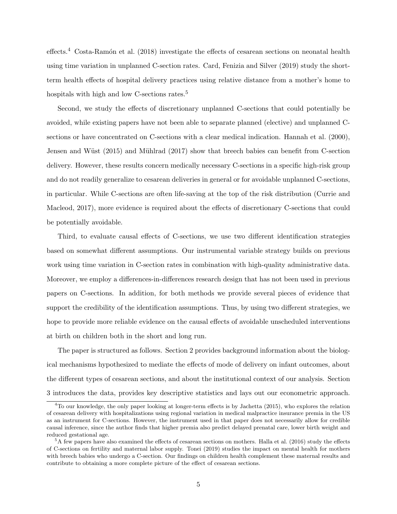$effects.<sup>4</sup> Costa-Ramón et al. (2018) investigate the effects of cesarean sections on neonatal health$ using time variation in unplanned C-section rates. Card, Fenizia and Silver (2019) study the shortterm health effects of hospital delivery practices using relative distance from a mother's home to hospitals with high and low C-sections rates.<sup>5</sup>

Second, we study the effects of discretionary unplanned C-sections that could potentially be avoided, while existing papers have not been able to separate planned (elective) and unplanned Csections or have concentrated on C-sections with a clear medical indication. Hannah et al. (2000), Jensen and Wüst (2015) and Mühlrad (2017) show that breech babies can benefit from C-section delivery. However, these results concern medically necessary C-sections in a specific high-risk group and do not readily generalize to cesarean deliveries in general or for avoidable unplanned C-sections, in particular. While C-sections are often life-saving at the top of the risk distribution (Currie and Macleod, 2017), more evidence is required about the effects of discretionary C-sections that could be potentially avoidable.

Third, to evaluate causal effects of C-sections, we use two different identification strategies based on somewhat different assumptions. Our instrumental variable strategy builds on previous work using time variation in C-section rates in combination with high-quality administrative data. Moreover, we employ a differences-in-differences research design that has not been used in previous papers on C-sections. In addition, for both methods we provide several pieces of evidence that support the credibility of the identification assumptions. Thus, by using two different strategies, we hope to provide more reliable evidence on the causal effects of avoidable unscheduled interventions at birth on children both in the short and long run.

The paper is structured as follows. Section 2 provides background information about the biological mechanisms hypothesized to mediate the effects of mode of delivery on infant outcomes, about the different types of cesarean sections, and about the institutional context of our analysis. Section 3 introduces the data, provides key descriptive statistics and lays out our econometric approach.

<sup>4</sup>To our knowledge, the only paper looking at longer-term effects is by Jachetta (2015), who explores the relation of cesarean delivery with hospitalizations using regional variation in medical malpractice insurance premia in the US as an instrument for C-sections. However, the instrument used in that paper does not necessarily allow for credible causal inference, since the author finds that higher premia also predict delayed prenatal care, lower birth weight and reduced gestational age.

<sup>5</sup>A few papers have also examined the effects of cesarean sections on mothers. Halla et al. (2016) study the effects of C-sections on fertility and maternal labor supply. Tonei (2019) studies the impact on mental health for mothers with breech babies who undergo a C-section. Our findings on children health complement these maternal results and contribute to obtaining a more complete picture of the effect of cesarean sections.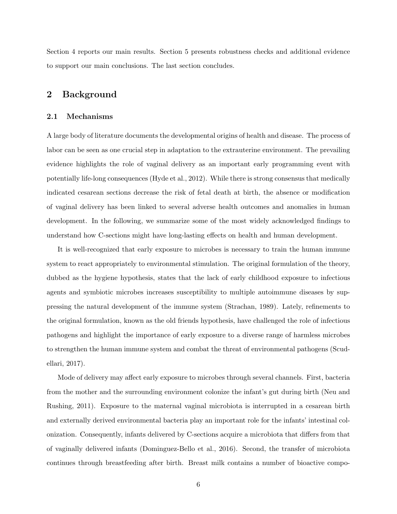Section 4 reports our main results. Section 5 presents robustness checks and additional evidence to support our main conclusions. The last section concludes.

#### 2 Background

#### 2.1 Mechanisms

A large body of literature documents the developmental origins of health and disease. The process of labor can be seen as one crucial step in adaptation to the extrauterine environment. The prevailing evidence highlights the role of vaginal delivery as an important early programming event with potentially life-long consequences (Hyde et al., 2012). While there is strong consensus that medically indicated cesarean sections decrease the risk of fetal death at birth, the absence or modification of vaginal delivery has been linked to several adverse health outcomes and anomalies in human development. In the following, we summarize some of the most widely acknowledged findings to understand how C-sections might have long-lasting effects on health and human development.

It is well-recognized that early exposure to microbes is necessary to train the human immune system to react appropriately to environmental stimulation. The original formulation of the theory, dubbed as the hygiene hypothesis, states that the lack of early childhood exposure to infectious agents and symbiotic microbes increases susceptibility to multiple autoimmune diseases by suppressing the natural development of the immune system (Strachan, 1989). Lately, refinements to the original formulation, known as the old friends hypothesis, have challenged the role of infectious pathogens and highlight the importance of early exposure to a diverse range of harmless microbes to strengthen the human immune system and combat the threat of environmental pathogens (Scudellari, 2017).

Mode of delivery may affect early exposure to microbes through several channels. First, bacteria from the mother and the surrounding environment colonize the infant's gut during birth (Neu and Rushing, 2011). Exposure to the maternal vaginal microbiota is interrupted in a cesarean birth and externally derived environmental bacteria play an important role for the infants' intestinal colonization. Consequently, infants delivered by C-sections acquire a microbiota that differs from that of vaginally delivered infants (Dominguez-Bello et al., 2016). Second, the transfer of microbiota continues through breastfeeding after birth. Breast milk contains a number of bioactive compo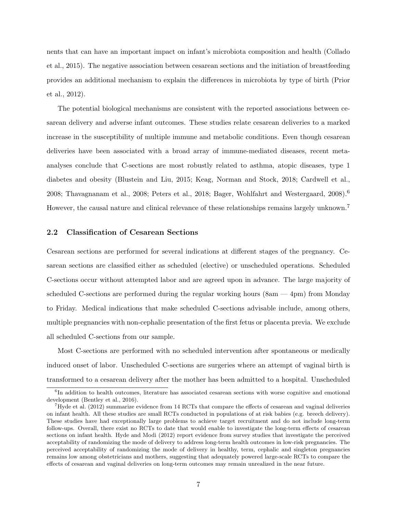nents that can have an important impact on infant's microbiota composition and health (Collado et al., 2015). The negative association between cesarean sections and the initiation of breastfeeding provides an additional mechanism to explain the differences in microbiota by type of birth (Prior et al., 2012).

The potential biological mechanisms are consistent with the reported associations between cesarean delivery and adverse infant outcomes. These studies relate cesarean deliveries to a marked increase in the susceptibility of multiple immune and metabolic conditions. Even though cesarean deliveries have been associated with a broad array of immune-mediated diseases, recent metaanalyses conclude that C-sections are most robustly related to asthma, atopic diseases, type 1 diabetes and obesity (Blustein and Liu, 2015; Keag, Norman and Stock, 2018; Cardwell et al., 2008; Thavagnanam et al., 2008; Peters et al., 2018; Bager, Wohlfahrt and Westergaard,  $2008$ .<sup>6</sup> However, the causal nature and clinical relevance of these relationships remains largely unknown.<sup>7</sup>

#### 2.2 Classification of Cesarean Sections

Cesarean sections are performed for several indications at different stages of the pregnancy. Cesarean sections are classified either as scheduled (elective) or unscheduled operations. Scheduled C-sections occur without attempted labor and are agreed upon in advance. The large majority of scheduled C-sections are performed during the regular working hours (8am — 4pm) from Monday to Friday. Medical indications that make scheduled C-sections advisable include, among others, multiple pregnancies with non-cephalic presentation of the first fetus or placenta previa. We exclude all scheduled C-sections from our sample.

Most C-sections are performed with no scheduled intervention after spontaneous or medically induced onset of labor. Unscheduled C-sections are surgeries where an attempt of vaginal birth is transformed to a cesarean delivery after the mother has been admitted to a hospital. Unscheduled

<sup>&</sup>lt;sup>6</sup>In addition to health outcomes, literature has associated cesarean sections with worse cognitive and emotional development (Bentley et al., 2016).

<sup>7</sup>Hyde et al. (2012) summarize evidence from 14 RCTs that compare the effects of cesarean and vaginal deliveries on infant health. All these studies are small RCTs conducted in populations of at risk babies (e.g. breech delivery). These studies have had exceptionally large problems to achieve target recruitment and do not include long-term follow-ups. Overall, there exist no RCTs to date that would enable to investigate the long-term effects of cesarean sections on infant health. Hyde and Modi (2012) report evidence from survey studies that investigate the perceived acceptability of randomizing the mode of delivery to address long-term health outcomes in low-risk pregnancies. The perceived acceptability of randomizing the mode of delivery in healthy, term, cephalic and singleton pregnancies remains low among obstetricians and mothers, suggesting that adequately powered large-scale RCTs to compare the effects of cesarean and vaginal deliveries on long-term outcomes may remain unrealized in the near future.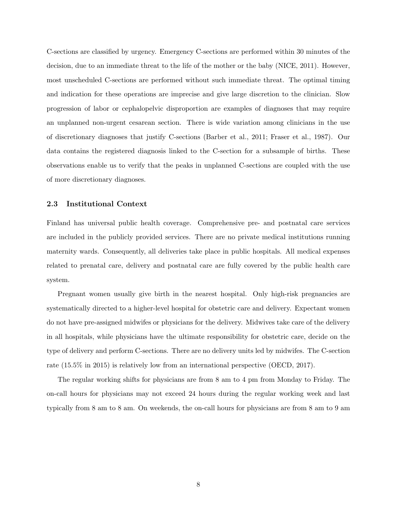C-sections are classified by urgency. Emergency C-sections are performed within 30 minutes of the decision, due to an immediate threat to the life of the mother or the baby (NICE, 2011). However, most unscheduled C-sections are performed without such immediate threat. The optimal timing and indication for these operations are imprecise and give large discretion to the clinician. Slow progression of labor or cephalopelvic disproportion are examples of diagnoses that may require an unplanned non-urgent cesarean section. There is wide variation among clinicians in the use of discretionary diagnoses that justify C-sections (Barber et al., 2011; Fraser et al., 1987). Our data contains the registered diagnosis linked to the C-section for a subsample of births. These observations enable us to verify that the peaks in unplanned C-sections are coupled with the use of more discretionary diagnoses.

#### 2.3 Institutional Context

Finland has universal public health coverage. Comprehensive pre- and postnatal care services are included in the publicly provided services. There are no private medical institutions running maternity wards. Consequently, all deliveries take place in public hospitals. All medical expenses related to prenatal care, delivery and postnatal care are fully covered by the public health care system.

Pregnant women usually give birth in the nearest hospital. Only high-risk pregnancies are systematically directed to a higher-level hospital for obstetric care and delivery. Expectant women do not have pre-assigned midwifes or physicians for the delivery. Midwives take care of the delivery in all hospitals, while physicians have the ultimate responsibility for obstetric care, decide on the type of delivery and perform C-sections. There are no delivery units led by midwifes. The C-section rate (15.5% in 2015) is relatively low from an international perspective (OECD, 2017).

The regular working shifts for physicians are from 8 am to 4 pm from Monday to Friday. The on-call hours for physicians may not exceed 24 hours during the regular working week and last typically from 8 am to 8 am. On weekends, the on-call hours for physicians are from 8 am to 9 am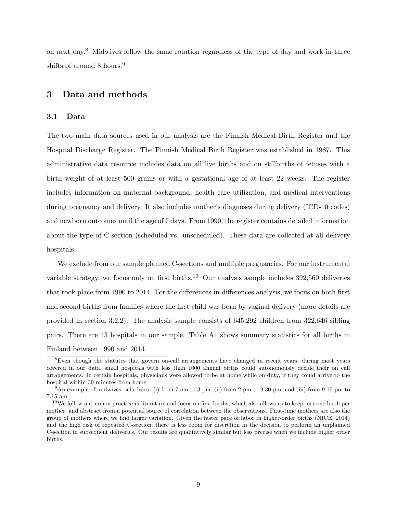on next day.<sup>8</sup> Midwives follow the same rotation regardless of the type of day and work in three shifts of around 8 hours.<sup>9</sup>

#### 3 Data and methods

#### 3.1 Data

The two main data sources used in our analysis are the Finnish Medical Birth Register and the Hospital Discharge Register. The Finnish Medical Birth Register was established in 1987. This administrative data resource includes data on all live births and on stillbirths of fetuses with a birth weight of at least 500 grams or with a gestational age of at least 22 weeks. The register includes information on maternal background, health care utilization, and medical interventions during pregnancy and delivery. It also includes mother's diagnoses during delivery (ICD-10 codes) and newborn outcomes until the age of 7 days. From 1990, the register contains detailed information about the type of C-section (scheduled vs. unscheduled). These data are collected at all delivery hospitals.

We exclude from our sample planned C-sections and multiple pregnancies. For our instrumental variable strategy, we focus only on first births.<sup>10</sup> Our analysis sample includes 392,560 deliveries that took place from 1990 to 2014. For the differences-in-differences analysis, we focus on both first and second births from families where the first child was born by vaginal delivery (more details are provided in section 3.2.2). The analysis sample consists of 645,292 children from 322,646 sibling pairs. There are 43 hospitals in our sample. Table A1 shows summary statistics for all births in Finland between 1990 and 2014.

<sup>&</sup>lt;sup>8</sup>Even though the statutes that govern on-call arrangements have changed in recent years, during most years covered in our data, small hospitals with less than 1000 annual births could autonomously decide their on call arrangements. In certain hospitals, physicians were allowed to be at home while on duty, if they could arrive to the hospital within 30 minutes from home.

<sup>9</sup>An example of midwives' schedules: (i) from 7 am to 3 pm, (ii) from 2 pm to 9.30 pm, and (iii) from 9.15 pm to 7.15 am.

 $10$ We follow a common practice in literature and focus on first births, which also allows us to keep just one birth per mother, and abstract from a potential source of correlation between the observations. First-time mothers are also the group of mothers where we find larger variation. Given the faster pace of labor in higher-order births (NICE, 2014) and the high risk of repeated C-section, there is less room for discretion in the decision to perform an unplanned C-section in subsequent deliveries. Our results are qualitatively similar but less precise when we include higher order births.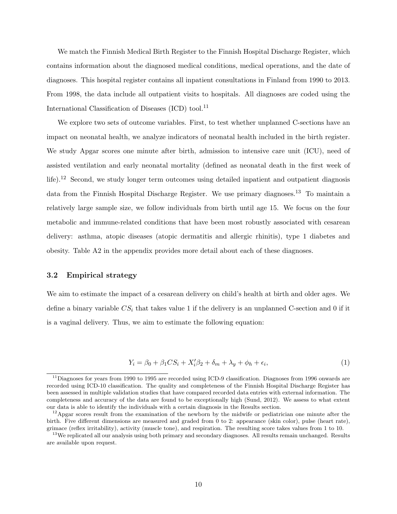We match the Finnish Medical Birth Register to the Finnish Hospital Discharge Register, which contains information about the diagnosed medical conditions, medical operations, and the date of diagnoses. This hospital register contains all inpatient consultations in Finland from 1990 to 2013. From 1998, the data include all outpatient visits to hospitals. All diagnoses are coded using the International Classification of Diseases  $(ICD)$  tool.<sup>11</sup>

We explore two sets of outcome variables. First, to test whether unplanned C-sections have an impact on neonatal health, we analyze indicators of neonatal health included in the birth register. We study Apgar scores one minute after birth, admission to intensive care unit (ICU), need of assisted ventilation and early neonatal mortality (defined as neonatal death in the first week of life).<sup>12</sup> Second, we study longer term outcomes using detailed inpatient and outpatient diagnosis data from the Finnish Hospital Discharge Register. We use primary diagnoses.<sup>13</sup> To maintain a relatively large sample size, we follow individuals from birth until age 15. We focus on the four metabolic and immune-related conditions that have been most robustly associated with cesarean delivery: asthma, atopic diseases (atopic dermatitis and allergic rhinitis), type 1 diabetes and obesity. Table A2 in the appendix provides more detail about each of these diagnoses.

#### 3.2 Empirical strategy

We aim to estimate the impact of a cesarean delivery on child's health at birth and older ages. We define a binary variable  $CS_i$  that takes value 1 if the delivery is an unplanned C-section and 0 if it is a vaginal delivery. Thus, we aim to estimate the following equation:

$$
Y_i = \beta_0 + \beta_1 CS_i + X_i'\beta_2 + \delta_m + \lambda_y + \phi_h + \epsilon_i,
$$
\n(1)

 $11$ Diagnoses for years from 1990 to 1995 are recorded using ICD-9 classification. Diagnoses from 1996 onwards are recorded using ICD-10 classification. The quality and completeness of the Finnish Hospital Discharge Register has been assessed in multiple validation studies that have compared recorded data entries with external information. The completeness and accuracy of the data are found to be exceptionally high (Sund, 2012). We assess to what extent our data is able to identify the individuals with a certain diagnosis in the Results section.

<sup>&</sup>lt;sup>12</sup>Apgar scores result from the examination of the newborn by the midwife or pediatrician one minute after the birth. Five different dimensions are measured and graded from 0 to 2: appearance (skin color), pulse (heart rate), grimace (reflex irritability), activity (muscle tone), and respiration. The resulting score takes values from 1 to 10.

 $13$ We replicated all our analysis using both primary and secondary diagnoses. All results remain unchanged. Results are available upon request.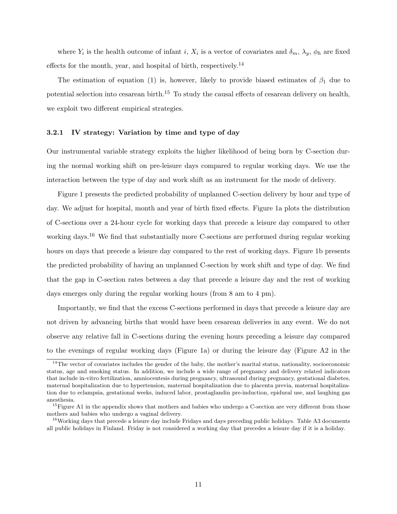where  $Y_i$  is the health outcome of infant i,  $X_i$  is a vector of covariates and  $\delta_m$ ,  $\lambda_y$ ,  $\phi_h$  are fixed effects for the month, year, and hospital of birth, respectively.<sup>14</sup>

The estimation of equation (1) is, however, likely to provide biased estimates of  $\beta_1$  due to potential selection into cesarean birth.<sup>15</sup> To study the causal effects of cesarean delivery on health, we exploit two different empirical strategies.

#### 3.2.1 IV strategy: Variation by time and type of day

Our instrumental variable strategy exploits the higher likelihood of being born by C-section during the normal working shift on pre-leisure days compared to regular working days. We use the interaction between the type of day and work shift as an instrument for the mode of delivery.

Figure 1 presents the predicted probability of unplanned C-section delivery by hour and type of day. We adjust for hospital, month and year of birth fixed effects. Figure 1a plots the distribution of C-sections over a 24-hour cycle for working days that precede a leisure day compared to other working days.<sup>16</sup> We find that substantially more C-sections are performed during regular working hours on days that precede a leisure day compared to the rest of working days. Figure 1b presents the predicted probability of having an unplanned C-section by work shift and type of day. We find that the gap in C-section rates between a day that precede a leisure day and the rest of working days emerges only during the regular working hours (from 8 am to 4 pm).

Importantly, we find that the excess C-sections performed in days that precede a leisure day are not driven by advancing births that would have been cesarean deliveries in any event. We do not observe any relative fall in C-sections during the evening hours preceding a leisure day compared to the evenings of regular working days (Figure 1a) or during the leisure day (Figure A2 in the

 $14$ The vector of covariates includes the gender of the baby, the mother's marital status, nationality, socioeconomic status, age and smoking status. In addition, we include a wide range of pregnancy and delivery related indicators that include in-vitro fertilization, amniocentesis during pregnancy, ultrasound during pregnancy, gestational diabetes, maternal hospitalization due to hypertension, maternal hospitalization due to placenta previa, maternal hospitalization due to eclampsia, gestational weeks, induced labor, prostaglandin pre-induction, epidural use, and laughing gas anesthesia.

 $^{15}$ Figure A1 in the appendix shows that mothers and babies who undergo a C-section are very different from those mothers and babies who undergo a vaginal delivery.

<sup>&</sup>lt;sup>16</sup>Working days that precede a leisure day include Fridays and days preceding public holidays. Table A3 documents all public holidays in Finland. Friday is not considered a working day that precedes a leisure day if it is a holiday.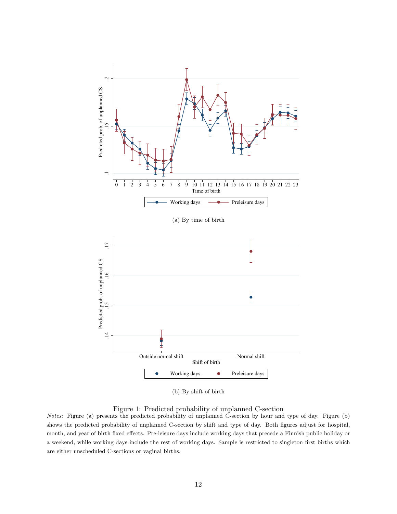

(b) By shift of birth

Figure 1: Predicted probability of unplanned C-section

Notes: Figure (a) presents the predicted probability of unplanned C-section by hour and type of day. Figure (b) shows the predicted probability of unplanned C-section by shift and type of day. Both figures adjust for hospital, month, and year of birth fixed effects. Pre-leisure days include working days that precede a Finnish public holiday or a weekend, while working days include the rest of working days. Sample is restricted to singleton first births which are either unscheduled C-sections or vaginal births.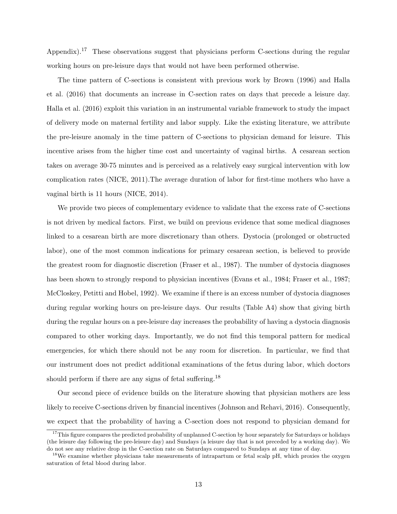Appendix).<sup>17</sup> These observations suggest that physicians perform C-sections during the regular working hours on pre-leisure days that would not have been performed otherwise.

The time pattern of C-sections is consistent with previous work by Brown (1996) and Halla et al. (2016) that documents an increase in C-section rates on days that precede a leisure day. Halla et al. (2016) exploit this variation in an instrumental variable framework to study the impact of delivery mode on maternal fertility and labor supply. Like the existing literature, we attribute the pre-leisure anomaly in the time pattern of C-sections to physician demand for leisure. This incentive arises from the higher time cost and uncertainty of vaginal births. A cesarean section takes on average 30-75 minutes and is perceived as a relatively easy surgical intervention with low complication rates (NICE, 2011).The average duration of labor for first-time mothers who have a vaginal birth is 11 hours (NICE, 2014).

We provide two pieces of complementary evidence to validate that the excess rate of C-sections is not driven by medical factors. First, we build on previous evidence that some medical diagnoses linked to a cesarean birth are more discretionary than others. Dystocia (prolonged or obstructed labor), one of the most common indications for primary cesarean section, is believed to provide the greatest room for diagnostic discretion (Fraser et al., 1987). The number of dystocia diagnoses has been shown to strongly respond to physician incentives (Evans et al., 1984; Fraser et al., 1987; McCloskey, Petitti and Hobel, 1992). We examine if there is an excess number of dystocia diagnoses during regular working hours on pre-leisure days. Our results (Table A4) show that giving birth during the regular hours on a pre-leisure day increases the probability of having a dystocia diagnosis compared to other working days. Importantly, we do not find this temporal pattern for medical emergencies, for which there should not be any room for discretion. In particular, we find that our instrument does not predict additional examinations of the fetus during labor, which doctors should perform if there are any signs of fetal suffering.<sup>18</sup>

Our second piece of evidence builds on the literature showing that physician mothers are less likely to receive C-sections driven by financial incentives (Johnson and Rehavi, 2016). Consequently, we expect that the probability of having a C-section does not respond to physician demand for

<sup>&</sup>lt;sup>17</sup>This figure compares the predicted probability of unplanned C-section by hour separately for Saturdays or holidays (the leisure day following the pre-leisure day) and Sundays (a leisure day that is not preceded by a working day). We do not see any relative drop in the C-section rate on Saturdays compared to Sundays at any time of day.

<sup>&</sup>lt;sup>18</sup>We examine whether physicians take measurements of intrapartum or fetal scalp pH, which proxies the oxygen saturation of fetal blood during labor.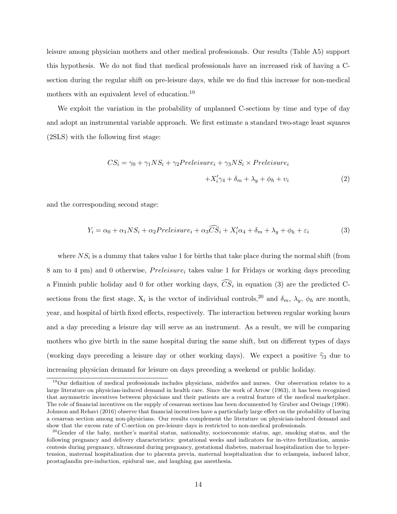leisure among physician mothers and other medical professionals. Our results (Table A5) support this hypothesis. We do not find that medical professionals have an increased risk of having a Csection during the regular shift on pre-leisure days, while we do find this increase for non-medical mothers with an equivalent level of education.<sup>19</sup>

We exploit the variation in the probability of unplanned C-sections by time and type of day and adopt an instrumental variable approach. We first estimate a standard two-stage least squares (2SLS) with the following first stage:

$$
CS_i = \gamma_0 + \gamma_1 NS_i + \gamma_2 Preleisure_i + \gamma_3 NS_i \times Preleisure_i
$$
  
+
$$
X'_i \gamma_4 + \delta_m + \lambda_y + \phi_h + v_i
$$
 (2)

and the corresponding second stage:

$$
Y_i = \alpha_0 + \alpha_1 NS_i + \alpha_2 Preleisure_i + \alpha_3 \widehat{CS}_i + X_i' \alpha_4 + \delta_m + \lambda_y + \phi_h + \varepsilon_i
$$
\n(3)

where  $NS_i$  is a dummy that takes value 1 for births that take place during the normal shift (from 8 am to 4 pm) and 0 otherwise,  $Preleisure_i$  takes value 1 for Fridays or working days preceding a Finnish public holiday and 0 for other working days,  $CS_i$  in equation (3) are the predicted Csections from the first stage,  $X_i$  is the vector of individual controls,<sup>20</sup> and  $\delta_m$ ,  $\lambda_y$ ,  $\phi_h$  are month, year, and hospital of birth fixed effects, respectively. The interaction between regular working hours and a day preceding a leisure day will serve as an instrument. As a result, we will be comparing mothers who give birth in the same hospital during the same shift, but on different types of days (working days preceding a leisure day or other working days). We expect a positive  $\hat{\gamma}_3$  due to increasing physician demand for leisure on days preceding a weekend or public holiday.

<sup>19</sup>Our definition of medical professionals includes physicians, midwifes and nurses. Our observation relates to a large literature on physician-induced demand in health care. Since the work of Arrow (1963), it has been recognized that asymmetric incentives between physicians and their patients are a central feature of the medical marketplace. The role of financial incentives on the supply of cesarean sections has been documented by Gruber and Owings (1996). Johnson and Rehavi (2016) observe that financial incentives have a particularly large effect on the probability of having a cesarean section among non-physicians. Our results complement the literature on physician-induced demand and show that the excess rate of C-section on pre-leisure days is restricted to non-medical professionals.

<sup>&</sup>lt;sup>20</sup>Gender of the baby, mother's marital status, nationality, socioeconomic status, age, smoking status, and the following pregnancy and delivery characteristics: gestational weeks and indicators for in-vitro fertilization, amniocentesis during pregnancy, ultrasound during pregnancy, gestational diabetes, maternal hospitalization due to hypertension, maternal hospitalization due to placenta previa, maternal hospitalization due to eclampsia, induced labor, prostaglandin pre-induction, epidural use, and laughing gas anesthesia.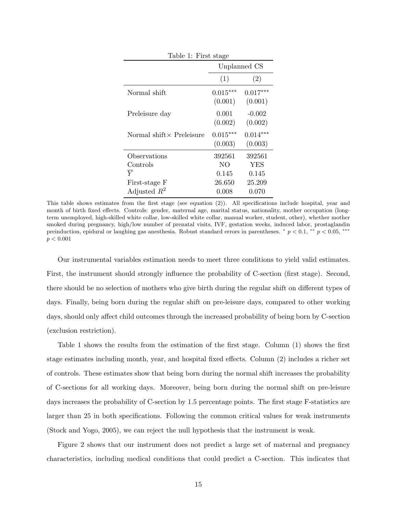| Table 1: First stage             |                       |                       |  |  |
|----------------------------------|-----------------------|-----------------------|--|--|
|                                  | Unplanned CS          |                       |  |  |
|                                  | (1)                   | (2)                   |  |  |
| Normal shift                     | $0.015***$<br>(0.001) | $0.017***$<br>(0.001) |  |  |
| Preleisure day                   | 0.001<br>(0.002)      | $-0.002$<br>(0.002)   |  |  |
| Normal shift $\times$ Preleisure | $0.015***$<br>(0.003) | $0.014***$<br>(0.003) |  |  |
| Observations                     | 392561                | 392561                |  |  |
| Controls                         | NO                    | <b>YES</b>            |  |  |
| $\bar{V}$                        | 0.145                 | 0.145                 |  |  |
| First-stage F                    | 26.650                | 25.209                |  |  |
| Adjusted $R^2$                   | 0.008                 | 0.070                 |  |  |

This table shows estimates from the first stage (see equation (2)). All specifications include hospital, year and month of birth fixed effects. Controls: gender, maternal age, marital status, nationality, mother occupation (longterm unemployed, high-skilled white collar, low-skilled white collar, manual worker, student, other), whether mother smoked during pregnancy, high/low number of prenatal visits, IVF, gestation weeks, induced labor, prostaglandin preinduction, epidural or laughing gas anesthesia. Robust standard errors in parentheses.  $\binom{*}{p} < 0.1$ ,  $\binom{*}{p} < 0.05$ ,  $\binom{***}{p}$  $p < 0.001$ 

Our instrumental variables estimation needs to meet three conditions to yield valid estimates. First, the instrument should strongly influence the probability of C-section (first stage). Second, there should be no selection of mothers who give birth during the regular shift on different types of days. Finally, being born during the regular shift on pre-leisure days, compared to other working days, should only affect child outcomes through the increased probability of being born by C-section (exclusion restriction).

Table 1 shows the results from the estimation of the first stage. Column (1) shows the first stage estimates including month, year, and hospital fixed effects. Column (2) includes a richer set of controls. These estimates show that being born during the normal shift increases the probability of C-sections for all working days. Moreover, being born during the normal shift on pre-leisure days increases the probability of C-section by 1.5 percentage points. The first stage F-statistics are larger than 25 in both specifications. Following the common critical values for weak instruments (Stock and Yogo, 2005), we can reject the null hypothesis that the instrument is weak.

Figure 2 shows that our instrument does not predict a large set of maternal and pregnancy characteristics, including medical conditions that could predict a C-section. This indicates that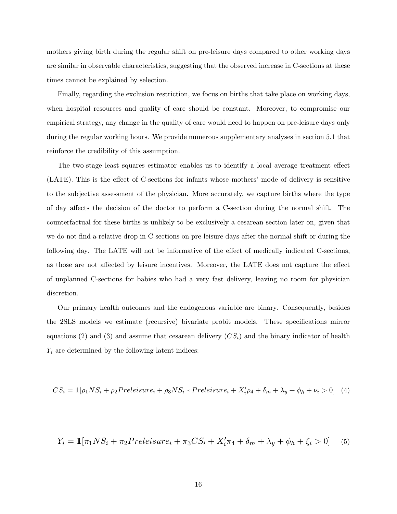mothers giving birth during the regular shift on pre-leisure days compared to other working days are similar in observable characteristics, suggesting that the observed increase in C-sections at these times cannot be explained by selection.

Finally, regarding the exclusion restriction, we focus on births that take place on working days, when hospital resources and quality of care should be constant. Moreover, to compromise our empirical strategy, any change in the quality of care would need to happen on pre-leisure days only during the regular working hours. We provide numerous supplementary analyses in section 5.1 that reinforce the credibility of this assumption.

The two-stage least squares estimator enables us to identify a local average treatment effect (LATE). This is the effect of C-sections for infants whose mothers' mode of delivery is sensitive to the subjective assessment of the physician. More accurately, we capture births where the type of day affects the decision of the doctor to perform a C-section during the normal shift. The counterfactual for these births is unlikely to be exclusively a cesarean section later on, given that we do not find a relative drop in C-sections on pre-leisure days after the normal shift or during the following day. The LATE will not be informative of the effect of medically indicated C-sections, as those are not affected by leisure incentives. Moreover, the LATE does not capture the effect of unplanned C-sections for babies who had a very fast delivery, leaving no room for physician discretion.

Our primary health outcomes and the endogenous variable are binary. Consequently, besides the 2SLS models we estimate (recursive) bivariate probit models. These specifications mirror equations (2) and (3) and assume that cesarean delivery  $(CS_i)$  and the binary indicator of health  $Y_i$  are determined by the following latent indices:

$$
CS_i = \mathbb{1}[\rho_1 NS_i + \rho_2 Preleisure_i + \rho_3 NS_i * Preleisure_i + X_i'\rho_4 + \delta_m + \lambda_y + \phi_h + \nu_i > 0]
$$
(4)

$$
Y_i = \mathbb{1}[\pi_1 NS_i + \pi_2 Preleisure_i + \pi_3 CS_i + X'_i \pi_4 + \delta_m + \lambda_y + \phi_h + \xi_i > 0]
$$
(5)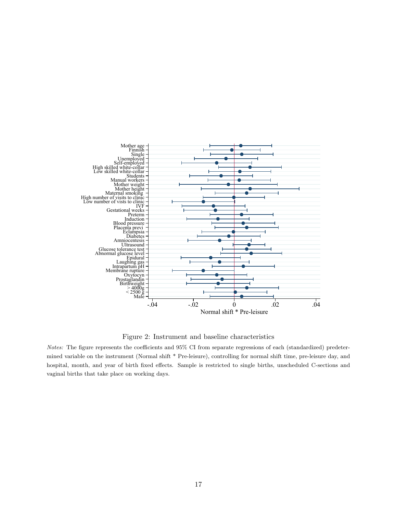

Figure 2: Instrument and baseline characteristics

Notes: The figure represents the coefficients and 95% CI from separate regressions of each (standardized) predetermined variable on the instrument (Normal shift \* Pre-leisure), controlling for normal shift time, pre-leisure day, and hospital, month, and year of birth fixed effects. Sample is restricted to single births, unscheduled C-sections and vaginal births that take place on working days.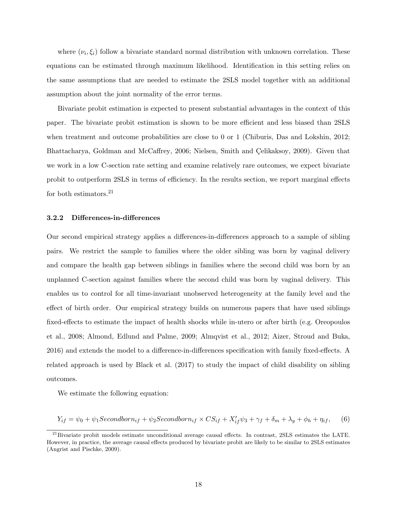where  $(\nu_i, \xi_i)$  follow a bivariate standard normal distribution with unknown correlation. These equations can be estimated through maximum likelihood. Identification in this setting relies on the same assumptions that are needed to estimate the 2SLS model together with an additional assumption about the joint normality of the error terms.

Bivariate probit estimation is expected to present substantial advantages in the context of this paper. The bivariate probit estimation is shown to be more efficient and less biased than 2SLS when treatment and outcome probabilities are close to 0 or 1 (Chiburis, Das and Lokshin, 2012; Bhattacharya, Goldman and McCaffrey, 2006; Nielsen, Smith and Çelikaksoy, 2009). Given that we work in a low C-section rate setting and examine relatively rare outcomes, we expect bivariate probit to outperform 2SLS in terms of efficiency. In the results section, we report marginal effects for both estimators. $^{21}$ 

#### 3.2.2 Differences-in-differences

Our second empirical strategy applies a differences-in-differences approach to a sample of sibling pairs. We restrict the sample to families where the older sibling was born by vaginal delivery and compare the health gap between siblings in families where the second child was born by an unplanned C-section against families where the second child was born by vaginal delivery. This enables us to control for all time-invariant unobserved heterogeneity at the family level and the effect of birth order. Our empirical strategy builds on numerous papers that have used siblings fixed-effects to estimate the impact of health shocks while in-utero or after birth (e.g. Oreopoulos et al., 2008; Almond, Edlund and Palme, 2009; Almqvist et al., 2012; Aizer, Stroud and Buka, 2016) and extends the model to a difference-in-differences specification with family fixed-effects. A related approach is used by Black et al. (2017) to study the impact of child disability on sibling outcomes.

We estimate the following equation:

$$
Y_{if} = \psi_0 + \psi_1 Secondborn_{if} + \psi_2 Secondborn_{if} \times CS_{if} + X'_{if}\psi_3 + \gamma_f + \delta_m + \lambda_y + \phi_h + \eta_{if}, \quad (6)
$$

 $^{21}$ Bivariate probit models estimate unconditional average causal effects. In contrast, 2SLS estimates the LATE. However, in practice, the average causal effects produced by bivariate probit are likely to be similar to 2SLS estimates (Angrist and Pischke, 2009).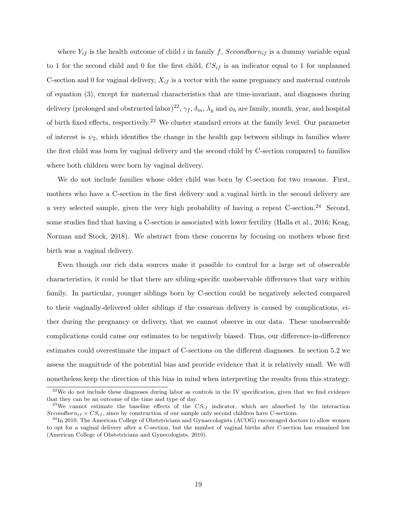where  $Y_{if}$  is the health outcome of child i in family f, Secondborn<sub>if</sub> is a dummy variable equal to 1 for the second child and 0 for the first child,  $CS_{if}$  is an indicator equal to 1 for unplanned C-section and 0 for vaginal delivery,  $X_{if}$  is a vector with the same pregnancy and maternal controls of equation (3), except for maternal characteristics that are time-invariant, and diagnoses during delivery (prolonged and obstructed labor)<sup>22</sup>,  $\gamma_f$ ,  $\delta_m$ ,  $\lambda_y$  and  $\phi_h$  are family, month, year, and hospital of birth fixed effects, respectively.<sup>23</sup> We cluster standard errors at the family level. Our parameter of interest is  $\psi_2$ , which identifies the change in the health gap between siblings in families where the first child was born by vaginal delivery and the second child by C-section compared to families where both children were born by vaginal delivery.

We do not include families whose older child was born by C-section for two reasons. First, mothers who have a C-section in the first delivery and a vaginal birth in the second delivery are a very selected sample, given the very high probability of having a repeat C-section.<sup>24</sup> Second, some studies find that having a C-section is associated with lower fertility (Halla et al., 2016; Keag, Norman and Stock, 2018). We abstract from these concerns by focusing on mothers whose first birth was a vaginal delivery.

Even though our rich data sources make it possible to control for a large set of observable characteristics, it could be that there are sibling-specific unobservable differences that vary within family. In particular, younger siblings born by C-section could be negatively selected compared to their vaginally-delivered older siblings if the cesarean delivery is caused by complications, either during the pregnancy or delivery, that we cannot observe in our data. These unobservable complications could cause our estimates to be negatively biased. Thus, our difference-in-difference estimates could overestimate the impact of C-sections on the different diagnoses. In section 5.2 we assess the magnitude of the potential bias and provide evidence that it is relatively small. We will nonetheless keep the direction of this bias in mind when interpreting the results from this strategy.

 $22$ We do not include these diagnoses during labor as controls in the IV specification, given that we find evidence that they can be an outcome of the time and type of day.

<sup>&</sup>lt;sup>23</sup>We cannot estimate the baseline effects of the  $CS_{if}$  indicator, which are absorbed by the interaction Secondborn<sub>if</sub>  $\times CS_{if}$ , since by construction of our sample only second children have C-sections.

 $^{24}$ In 2010, The American College of Obstetricians and Gynaecologists (ACOG) encouraged doctors to allow women to opt for a vaginal delivery after a C-section, but the number of vaginal births after C-section has remained low (American College of Obstetricians and Gynecologists, 2010).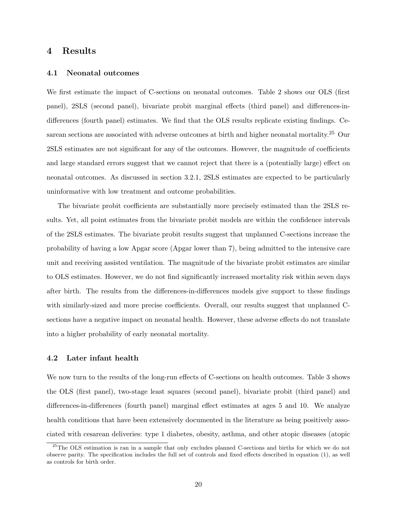#### 4 Results

#### 4.1 Neonatal outcomes

We first estimate the impact of C-sections on neonatal outcomes. Table 2 shows our OLS (first panel), 2SLS (second panel), bivariate probit marginal effects (third panel) and differences-indifferences (fourth panel) estimates. We find that the OLS results replicate existing findings. Cesarean sections are associated with adverse outcomes at birth and higher neonatal mortality.<sup>25</sup> Our 2SLS estimates are not significant for any of the outcomes. However, the magnitude of coefficients and large standard errors suggest that we cannot reject that there is a (potentially large) effect on neonatal outcomes. As discussed in section 3.2.1, 2SLS estimates are expected to be particularly uninformative with low treatment and outcome probabilities.

The bivariate probit coefficients are substantially more precisely estimated than the 2SLS results. Yet, all point estimates from the bivariate probit models are within the confidence intervals of the 2SLS estimates. The bivariate probit results suggest that unplanned C-sections increase the probability of having a low Apgar score (Apgar lower than 7), being admitted to the intensive care unit and receiving assisted ventilation. The magnitude of the bivariate probit estimates are similar to OLS estimates. However, we do not find significantly increased mortality risk within seven days after birth. The results from the differences-in-differences models give support to these findings with similarly-sized and more precise coefficients. Overall, our results suggest that unplanned Csections have a negative impact on neonatal health. However, these adverse effects do not translate into a higher probability of early neonatal mortality.

#### 4.2 Later infant health

We now turn to the results of the long-run effects of C-sections on health outcomes. Table 3 shows the OLS (first panel), two-stage least squares (second panel), bivariate probit (third panel) and differences-in-differences (fourth panel) marginal effect estimates at ages 5 and 10. We analyze health conditions that have been extensively documented in the literature as being positively associated with cesarean deliveries: type 1 diabetes, obesity, asthma, and other atopic diseases (atopic

<sup>&</sup>lt;sup>25</sup>The OLS estimation is ran in a sample that only excludes planned C-sections and births for which we do not observe parity. The specification includes the full set of controls and fixed effects described in equation (1), as well as controls for birth order.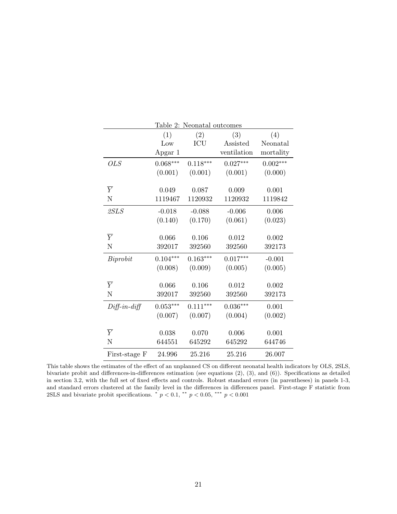|                | Table 2: Neonatal outcomes |            |             |            |  |  |  |
|----------------|----------------------------|------------|-------------|------------|--|--|--|
|                | (1)                        | (2)        | (3)         | (4)        |  |  |  |
|                | Low                        | ICU        | Assisted    | Neonatal   |  |  |  |
|                | Apgar 1                    |            | ventilation | mortality  |  |  |  |
| <b>OLS</b>     | $0.068***$                 | $0.118***$ | $0.027***$  | $0.002***$ |  |  |  |
|                | (0.001)                    | (0.001)    | (0.001)     | (0.000)    |  |  |  |
|                |                            |            |             |            |  |  |  |
| $\overline{Y}$ | 0.049                      | 0.087      | 0.009       | 0.001      |  |  |  |
| N              | 1119467                    | 1120932    | 1120932     | 1119842    |  |  |  |
| 2SLS           | $-0.018$                   | $-0.088$   | $-0.006$    | 0.006      |  |  |  |
|                | (0.140)                    | (0.170)    | (0.061)     | (0.023)    |  |  |  |
|                |                            |            |             |            |  |  |  |
| $\overline{Y}$ | 0.066                      | 0.106      | 0.012       | 0.002      |  |  |  |
| N              | 392017                     | 392560     | 392560      | 392173     |  |  |  |
| Biprobit       | $0.104***$                 | $0.163***$ | $0.017***$  | $-0.001$   |  |  |  |
|                | (0.008)                    | (0.009)    | (0.005)     | (0.005)    |  |  |  |
|                |                            |            |             |            |  |  |  |
| $\overline{Y}$ | 0.066                      | 0.106      | 0.012       | 0.002      |  |  |  |
| N              | 392017                     | 392560     | 392560      | 392173     |  |  |  |
| $Diff-in-diff$ | $0.053***$                 | $0.111***$ | $0.036***$  | 0.001      |  |  |  |
|                | (0.007)                    | (0.007)    | (0.004)     | (0.002)    |  |  |  |
|                |                            |            |             |            |  |  |  |
| $\overline{Y}$ | 0.038                      | 0.070      | 0.006       | 0.001      |  |  |  |
| N              | 644551                     | 645292     | 645292      | 644746     |  |  |  |
| First-stage F  | 24.996                     | 25.216     | 25.216      | 26.007     |  |  |  |

This table shows the estimates of the effect of an unplanned CS on different neonatal health indicators by OLS, 2SLS, bivariate probit and differences-in-differences estimation (see equations (2), (3), and (6)). Specifications as detailed in section 3.2, with the full set of fixed effects and controls. Robust standard errors (in parentheses) in panels 1-3, and standard errors clustered at the family level in the differences in differences panel. First-stage F statistic from 2SLS and bivariate probit specifications.  $\degree p < 0.1$ ,  $\degree \degree p < 0.05$ ,  $\degree \degree \degree p < 0.001$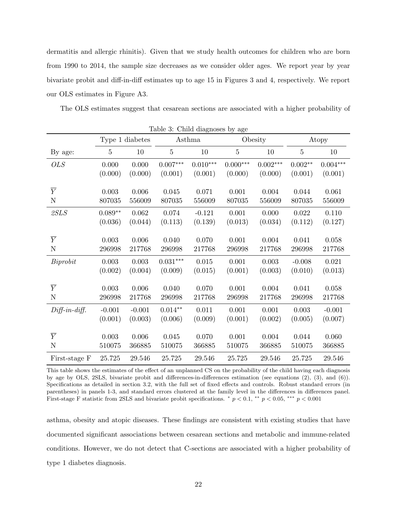dermatitis and allergic rhinitis). Given that we study health outcomes for children who are born from 1990 to 2014, the sample size decreases as we consider older ages. We report year by year bivariate probit and diff-in-diff estimates up to age 15 in Figures 3 and 4, respectively. We report our OLS estimates in Figure A3.

The OLS estimates suggest that cesarean sections are associated with a higher probability of

| Table 3: Child diagnoses by age |                |                 |                 |            |            |            |                |            |
|---------------------------------|----------------|-----------------|-----------------|------------|------------|------------|----------------|------------|
|                                 |                | Type 1 diabetes |                 | Asthma     |            | Obesity    |                | Atopy      |
| By age:                         | $\overline{5}$ | 10              | $\overline{5}$  | $10\,$     | $\bf 5$    | 10         | $\overline{5}$ | 10         |
| <i>OLS</i>                      | 0.000          | 0.000           | $0.007^{***}\,$ | $0.010***$ | $0.000***$ | $0.002***$ | $0.002**$      | $0.004***$ |
|                                 | (0.000)        | (0.000)         | (0.001)         | (0.001)    | (0.000)    | (0.000)    | (0.001)        | (0.001)    |
|                                 |                |                 |                 |            |            |            |                |            |
| $\overline{Y}$                  | 0.003          | 0.006           | 0.045           | 0.071      | 0.001      | 0.004      | 0.044          | 0.061      |
| ${\bf N}$                       | 807035         | 556009          | 807035          | 556009     | 807035     | 556009     | 807035         | 556009     |
| 2SLS                            | $0.089**$      | 0.062           | 0.074           | $-0.121$   | 0.001      | 0.000      | 0.022          | 0.110      |
|                                 | (0.036)        | (0.044)         | (0.113)         | (0.139)    | (0.013)    | (0.034)    | (0.112)        | (0.127)    |
|                                 |                |                 |                 |            |            |            |                |            |
| $\overline{Y}$                  | 0.003          | 0.006           | 0.040           | 0.070      | 0.001      | 0.004      | 0.041          | 0.058      |
| ${\bf N}$                       | 296998         | 217768          | 296998          | 217768     | 296998     | 217768     | 296998         | 217768     |
| Biprobit                        | 0.003          | 0.003           | $0.031^{***}\,$ | 0.015      | 0.001      | 0.003      | $-0.008$       | 0.021      |
|                                 | (0.002)        | (0.004)         | (0.009)         | (0.015)    | (0.001)    | (0.003)    | (0.010)        | (0.013)    |
|                                 |                |                 |                 |            |            |            |                |            |
| $\overline{Y}$                  | 0.003          | 0.006           | 0.040           | 0.070      | 0.001      | 0.004      | 0.041          | 0.058      |
| ${\bf N}$                       | 296998         | 217768          | 296998          | 217768     | 296998     | 217768     | 296998         | 217768     |
| $Diff-in-diff.$                 | $-0.001$       | $-0.001$        | $0.014**$       | 0.011      | 0.001      | 0.001      | 0.003          | $-0.001$   |
|                                 | (0.001)        | (0.003)         | (0.006)         | (0.009)    | (0.001)    | (0.002)    | (0.005)        | (0.007)    |
|                                 |                |                 |                 |            |            |            |                |            |
| $\overline{Y}$                  | 0.003          | 0.006           | 0.045           | 0.070      | 0.001      | 0.004      | 0.044          | 0.060      |
| $\mathbf N$                     | 510075         | 366885          | 510075          | 366885     | 510075     | 366885     | 510075         | 366885     |
| First-stage F                   | 25.725         | $29.546\,$      | 25.725          | 29.546     | 25.725     | 29.546     | 25.725         | 29.546     |

This table shows the estimates of the effect of an unplanned CS on the probability of the child having each diagnosis by age by OLS, 2SLS, bivariate probit and differences-in-differences estimation (see equations (2), (3), and (6)). Specifications as detailed in section 3.2, with the full set of fixed effects and controls. Robust standard errors (in parentheses) in panels 1-3, and standard errors clustered at the family level in the differences in differences panel. First-stage F statistic from 2SLS and bivariate probit specifications.  $\binom{*}{p} < 0.1, \binom{**}{p} < 0.05, \binom{***}{p} < 0.001$ 

asthma, obesity and atopic diseases. These findings are consistent with existing studies that have documented significant associations between cesarean sections and metabolic and immune-related conditions. However, we do not detect that C-sections are associated with a higher probability of type 1 diabetes diagnosis.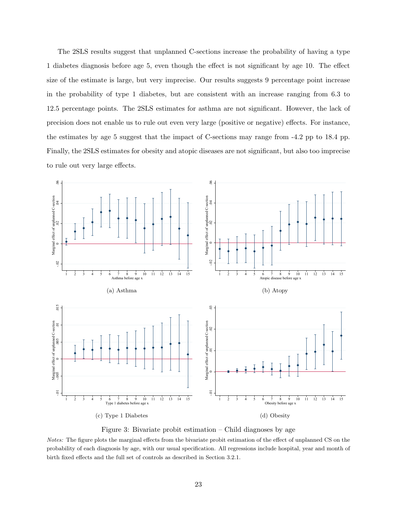The 2SLS results suggest that unplanned C-sections increase the probability of having a type 1 diabetes diagnosis before age 5, even though the effect is not significant by age 10. The effect size of the estimate is large, but very imprecise. Our results suggests 9 percentage point increase in the probability of type 1 diabetes, but are consistent with an increase ranging from 6.3 to 12.5 percentage points. The 2SLS estimates for asthma are not significant. However, the lack of precision does not enable us to rule out even very large (positive or negative) effects. For instance, the estimates by age 5 suggest that the impact of C-sections may range from -4.2 pp to 18.4 pp. Finally, the 2SLS estimates for obesity and atopic diseases are not significant, but also too imprecise to rule out very large effects.



Figure 3: Bivariate probit estimation – Child diagnoses by age

Notes: The figure plots the marginal effects from the bivariate probit estimation of the effect of unplanned CS on the probability of each diagnosis by age, with our usual specification. All regressions include hospital, year and month of birth fixed effects and the full set of controls as described in Section 3.2.1.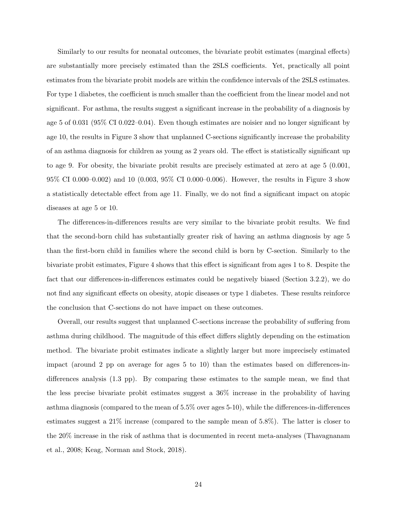Similarly to our results for neonatal outcomes, the bivariate probit estimates (marginal effects) are substantially more precisely estimated than the 2SLS coefficients. Yet, practically all point estimates from the bivariate probit models are within the confidence intervals of the 2SLS estimates. For type 1 diabetes, the coefficient is much smaller than the coefficient from the linear model and not significant. For asthma, the results suggest a significant increase in the probability of a diagnosis by age 5 of 0.031 (95% CI 0.022–0.04). Even though estimates are noisier and no longer significant by age 10, the results in Figure 3 show that unplanned C-sections significantly increase the probability of an asthma diagnosis for children as young as 2 years old. The effect is statistically significant up to age 9. For obesity, the bivariate probit results are precisely estimated at zero at age 5 (0.001, 95% CI 0.000–0.002) and 10 (0.003, 95% CI 0.000–0.006). However, the results in Figure 3 show a statistically detectable effect from age 11. Finally, we do not find a significant impact on atopic diseases at age 5 or 10.

The differences-in-differences results are very similar to the bivariate probit results. We find that the second-born child has substantially greater risk of having an asthma diagnosis by age 5 than the first-born child in families where the second child is born by C-section. Similarly to the bivariate probit estimates, Figure 4 shows that this effect is significant from ages 1 to 8. Despite the fact that our differences-in-differences estimates could be negatively biased (Section 3.2.2), we do not find any significant effects on obesity, atopic diseases or type 1 diabetes. These results reinforce the conclusion that C-sections do not have impact on these outcomes.

Overall, our results suggest that unplanned C-sections increase the probability of suffering from asthma during childhood. The magnitude of this effect differs slightly depending on the estimation method. The bivariate probit estimates indicate a slightly larger but more imprecisely estimated impact (around 2 pp on average for ages 5 to 10) than the estimates based on differences-indifferences analysis (1.3 pp). By comparing these estimates to the sample mean, we find that the less precise bivariate probit estimates suggest a 36% increase in the probability of having asthma diagnosis (compared to the mean of 5.5% over ages 5-10), while the differences-in-differences estimates suggest a 21% increase (compared to the sample mean of 5.8%). The latter is closer to the 20% increase in the risk of asthma that is documented in recent meta-analyses (Thavagnanam et al., 2008; Keag, Norman and Stock, 2018).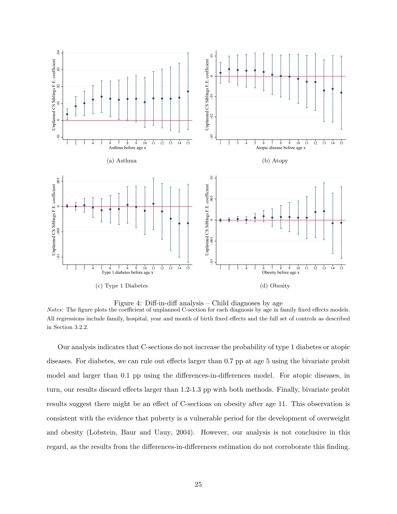

Figure 4: Diff-in-diff analysis – Child diagnoses by age

Notes: The figure plots the coefficient of unplanned C-section for each diagnosis by age in family fixed effects models. All regressions include family, hospital, year and month of birth fixed effects and the full set of controls as described in Section 3.2.2.

Our analysis indicates that C-sections do not increase the probability of type 1 diabetes or atopic diseases. For diabetes, we can rule out effects larger than 0.7 pp at age 5 using the bivariate probit model and larger than 0.1 pp using the differences-in-differences model. For atopic diseases, in turn, our results discard effects larger than 1.2-1.3 pp with both methods. Finally, bivariate probit results suggest there might be an effect of C-sections on obesity after age 11. This observation is consistent with the evidence that puberty is a vulnerable period for the development of overweight and obesity (Lobstein, Baur and Uauy, 2004). However, our analysis is not conclusive in this regard, as the results from the differences-in-differences estimation do not corroborate this finding.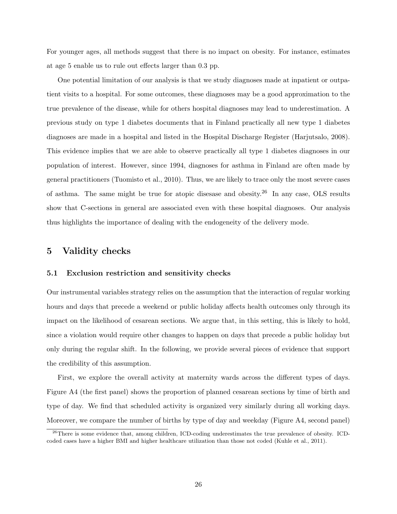For younger ages, all methods suggest that there is no impact on obesity. For instance, estimates at age 5 enable us to rule out effects larger than 0.3 pp.

One potential limitation of our analysis is that we study diagnoses made at inpatient or outpatient visits to a hospital. For some outcomes, these diagnoses may be a good approximation to the true prevalence of the disease, while for others hospital diagnoses may lead to underestimation. A previous study on type 1 diabetes documents that in Finland practically all new type 1 diabetes diagnoses are made in a hospital and listed in the Hospital Discharge Register (Harjutsalo, 2008). This evidence implies that we are able to observe practically all type 1 diabetes diagnoses in our population of interest. However, since 1994, diagnoses for asthma in Finland are often made by general practitioners (Tuomisto et al., 2010). Thus, we are likely to trace only the most severe cases of asthma. The same might be true for atopic disesase and obesity.<sup>26</sup> In any case, OLS results show that C-sections in general are associated even with these hospital diagnoses. Our analysis thus highlights the importance of dealing with the endogeneity of the delivery mode.

#### 5 Validity checks

#### 5.1 Exclusion restriction and sensitivity checks

Our instrumental variables strategy relies on the assumption that the interaction of regular working hours and days that precede a weekend or public holiday affects health outcomes only through its impact on the likelihood of cesarean sections. We argue that, in this setting, this is likely to hold, since a violation would require other changes to happen on days that precede a public holiday but only during the regular shift. In the following, we provide several pieces of evidence that support the credibility of this assumption.

First, we explore the overall activity at maternity wards across the different types of days. Figure A4 (the first panel) shows the proportion of planned cesarean sections by time of birth and type of day. We find that scheduled activity is organized very similarly during all working days. Moreover, we compare the number of births by type of day and weekday (Figure A4, second panel)

<sup>&</sup>lt;sup>26</sup>There is some evidence that, among children, ICD-coding underestimates the true prevalence of obesity. ICDcoded cases have a higher BMI and higher healthcare utilization than those not coded (Kuhle et al., 2011).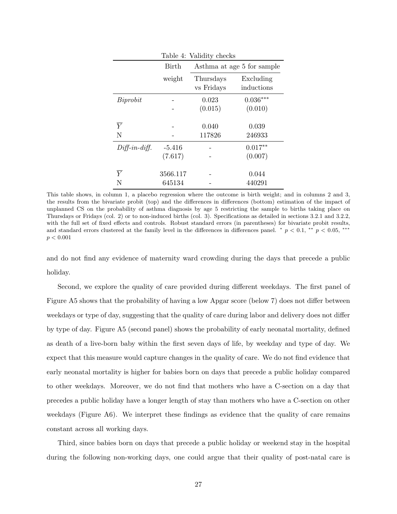| Table 4: Validity checks |          |                            |            |  |  |
|--------------------------|----------|----------------------------|------------|--|--|
|                          | Birth    | Asthma at age 5 for sample |            |  |  |
|                          | weight   | Thursdays                  | Excluding  |  |  |
|                          |          | vs Fridays                 | inductions |  |  |
| Biprobit                 |          | 0.023                      | $0.036***$ |  |  |
|                          |          | (0.015)                    | (0.010)    |  |  |
|                          |          |                            |            |  |  |
| $\overline{Y}$           |          | 0.040                      | 0.039      |  |  |
| N                        |          | 117826                     | 246933     |  |  |
| $Diff-in-diff.$          | $-5.416$ |                            | $0.017**$  |  |  |
|                          | (7.617)  |                            | (0.007)    |  |  |
|                          |          |                            |            |  |  |
| $\overline{Y}$           | 3566.117 |                            | 0.044      |  |  |
| N                        | 645134   |                            | 440291     |  |  |

This table shows, in column 1, a placebo regression where the outcome is birth weight; and in columns 2 and 3, the results from the bivariate probit (top) and the differences in differences (bottom) estimation of the impact of unplanned CS on the probability of asthma diagnosis by age 5 restricting the sample to births taking place on Thursdays or Fridays (col. 2) or to non-induced births (col. 3). Specifications as detailed in sections 3.2.1 and 3.2.2, with the full set of fixed effects and controls. Robust standard errors (in parentheses) for bivariate probit results, and standard errors clustered at the family level in the differences in differences panel.  $\dot{p}$   $< 0.1, \dot{p}$   $< 0.05, \dot{p}$  $p < 0.001$ 

and do not find any evidence of maternity ward crowding during the days that precede a public holiday.

Second, we explore the quality of care provided during different weekdays. The first panel of Figure A5 shows that the probability of having a low Apgar score (below 7) does not differ between weekdays or type of day, suggesting that the quality of care during labor and delivery does not differ by type of day. Figure A5 (second panel) shows the probability of early neonatal mortality, defined as death of a live-born baby within the first seven days of life, by weekday and type of day. We expect that this measure would capture changes in the quality of care. We do not find evidence that early neonatal mortality is higher for babies born on days that precede a public holiday compared to other weekdays. Moreover, we do not find that mothers who have a C-section on a day that precedes a public holiday have a longer length of stay than mothers who have a C-section on other weekdays (Figure A6). We interpret these findings as evidence that the quality of care remains constant across all working days.

Third, since babies born on days that precede a public holiday or weekend stay in the hospital during the following non-working days, one could argue that their quality of post-natal care is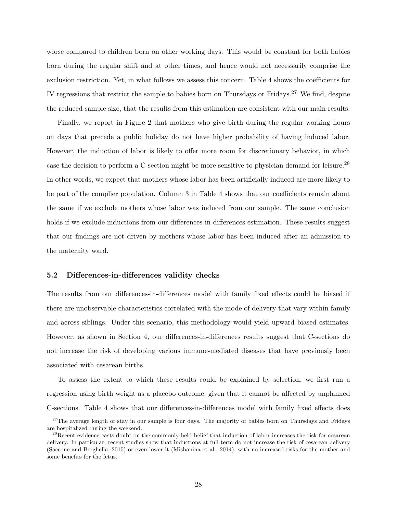worse compared to children born on other working days. This would be constant for both babies born during the regular shift and at other times, and hence would not necessarily comprise the exclusion restriction. Yet, in what follows we assess this concern. Table 4 shows the coefficients for IV regressions that restrict the sample to babies born on Thursdays or Fridays.<sup>27</sup> We find, despite the reduced sample size, that the results from this estimation are consistent with our main results.

Finally, we report in Figure 2 that mothers who give birth during the regular working hours on days that precede a public holiday do not have higher probability of having induced labor. However, the induction of labor is likely to offer more room for discretionary behavior, in which case the decision to perform a C-section might be more sensitive to physician demand for leisure.<sup>28</sup> In other words, we expect that mothers whose labor has been artificially induced are more likely to be part of the complier population. Column 3 in Table 4 shows that our coefficients remain about the same if we exclude mothers whose labor was induced from our sample. The same conclusion holds if we exclude inductions from our differences-in-differences estimation. These results suggest that our findings are not driven by mothers whose labor has been induced after an admission to the maternity ward.

#### 5.2 Differences-in-differences validity checks

The results from our differences-in-differences model with family fixed effects could be biased if there are unobservable characteristics correlated with the mode of delivery that vary within family and across siblings. Under this scenario, this methodology would yield upward biased estimates. However, as shown in Section 4, our differences-in-differences results suggest that C-sections do not increase the risk of developing various immune-mediated diseases that have previously been associated with cesarean births.

To assess the extent to which these results could be explained by selection, we first run a regression using birth weight as a placebo outcome, given that it cannot be affected by unplanned C-sections. Table 4 shows that our differences-in-differences model with family fixed effects does

<sup>&</sup>lt;sup>27</sup>The average length of stay in our sample is four days. The majority of babies born on Thursdays and Fridays are hospitalized during the weekend.

<sup>&</sup>lt;sup>28</sup>Recent evidence casts doubt on the commonly-held belief that induction of labor increases the risk for cesarean delivery. In particular, recent studies show that inductions at full term do not increase the risk of cesarean delivery (Saccone and Berghella, 2015) or even lower it (Mishanina et al., 2014), with no increased risks for the mother and some benefits for the fetus.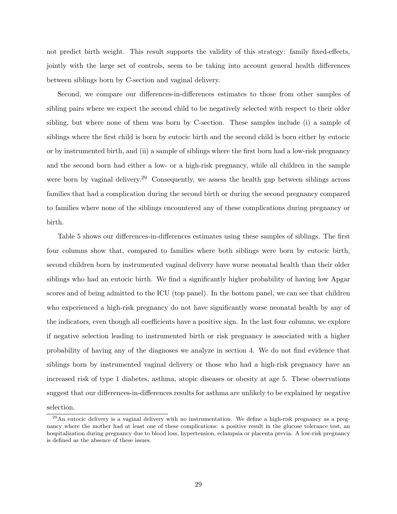not predict birth weight. This result supports the validity of this strategy: family fixed-effects, jointly with the large set of controls, seem to be taking into account general health differences between siblings born by C-section and vaginal delivery.

Second, we compare our differences-in-differences estimates to those from other samples of sibling pairs where we expect the second child to be negatively selected with respect to their older sibling, but where none of them was born by C-section. These samples include (i) a sample of siblings where the first child is born by eutocic birth and the second child is born either by eutocic or by instrumented birth, and (ii) a sample of siblings where the first born had a low-risk pregnancy and the second born had either a low- or a high-risk pregnancy, while all children in the sample were born by vaginal delivery.<sup>29</sup> Consequently, we assess the health gap between siblings across families that had a complication during the second birth or during the second pregnancy compared to families where none of the siblings encountered any of these complications during pregnancy or birth.

Table 5 shows our differences-in-differences estimates using these samples of siblings. The first four columns show that, compared to families where both siblings were born by eutocic birth, second children born by instrumented vaginal delivery have worse neonatal health than their older siblings who had an eutocic birth. We find a significantly higher probability of having low Apgar scores and of being admitted to the ICU (top panel). In the bottom panel, we can see that children who experienced a high-risk pregnancy do not have significantly worse neonatal health by any of the indicators, even though all coefficients have a positive sign. In the last four columns, we explore if negative selection leading to instrumented birth or risk pregnancy is associated with a higher probability of having any of the diagnoses we analyze in section 4. We do not find evidence that siblings born by instrumented vaginal delivery or those who had a high-risk pregnancy have an increased risk of type 1 diabetes, asthma, atopic diseases or obesity at age 5. These observations suggest that our differences-in-differences results for asthma are unlikely to be explained by negative selection.

<sup>29</sup>An eutocic delivery is a vaginal delivery with no instrumentation. We define a high-risk pregnancy as a pregnancy where the mother had at least one of these complications: a positive result in the glucose tolerance test, an hospitalization during pregnancy due to blood loss, hypertension, eclampsia or placenta previa. A low-risk pregnancy is defined as the absence of these issues.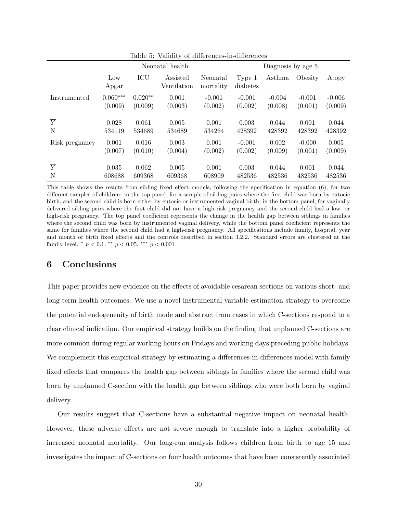|                | Neonatal health |           |                         | Diagnosis by age 5    |                    |          |          |          |
|----------------|-----------------|-----------|-------------------------|-----------------------|--------------------|----------|----------|----------|
|                | Low<br>Apgar    | ICU       | Assisted<br>Ventilation | Neonatal<br>mortality | Type 1<br>diabetes | Asthma   | Obesity  | Atopy    |
| Instrumented   | $0.060***$      | $0.020**$ | 0.001                   | $-0.001$              | $-0.001$           | $-0.004$ | $-0.001$ | $-0.006$ |
|                | (0.009)         | (0.009)   | (0.003)                 | (0.002)               | (0.002)            | (0.008)  | (0.001)  | (0.009)  |
| $\overline{Y}$ | 0.028           | 0.061     | 0.005                   | 0.001                 | 0.003              | 0.044    | 0.001    | 0.044    |
| N              | 534119          | 534689    | 534689                  | 534264                | 428392             | 428392   | 428392   | 428392   |
| Risk pregnancy | 0.001           | 0.016     | 0.003                   | 0.001                 | $-0.001$           | 0.002    | $-0.000$ | 0.005    |
|                | (0.007)         | (0.010)   | (0.004)                 | (0.002)               | (0.002)            | (0.009)  | (0.001)  | (0.009)  |
| $\overline{Y}$ | 0.035           | 0.062     | 0.005                   | 0.001                 | 0.003              | 0.044    | 0.001    | 0.044    |
| N              | 608688          | 609368    | 609368                  | 608909                | 482536             | 482536   | 482536   | 482536   |

Table 5: Validity of differences-in-differences

This table shows the results from sibling fixed effect models, following the specification in equation (6), for two different samples of children: in the top panel, for a sample of sibling pairs where the first child was born by eutocic birth, and the second child is born either by eutocic or instrumented vaginal birth; in the bottom panel, for vaginally delivered sibling pairs where the first child did not have a high-risk pregnancy and the second child had a low- or high-risk pregnancy. The top panel coefficient represents the change in the health gap between siblings in families where the second child was born by instrumented vaginal delivery, while the bottom panel coefficient represents the same for families where the second child had a high-risk pregnancy. All specifications include family, hospital, year and month of birth fixed effects and the controls described in section 3.2.2. Standard errors are clustered at the family level.  $p < 0.1$ ,  $p < 0.05$ ,  $p > 0.001$ 

#### 6 Conclusions

This paper provides new evidence on the effects of avoidable cesarean sections on various short- and long-term health outcomes. We use a novel instrumental variable estimation strategy to overcome the potential endogenenity of birth mode and abstract from cases in which C-sections respond to a clear clinical indication. Our empirical strategy builds on the finding that unplanned C-sections are more common during regular working hours on Fridays and working days preceding public holidays. We complement this empirical strategy by estimating a differences-in-differences model with family fixed effects that compares the health gap between siblings in families where the second child was born by unplanned C-section with the health gap between siblings who were both born by vaginal delivery.

Our results suggest that C-sections have a substantial negative impact on neonatal health. However, these adverse effects are not severe enough to translate into a higher probability of increased neonatal mortality. Our long-run analysis follows children from birth to age 15 and investigates the impact of C-sections on four health outcomes that have been consistently associated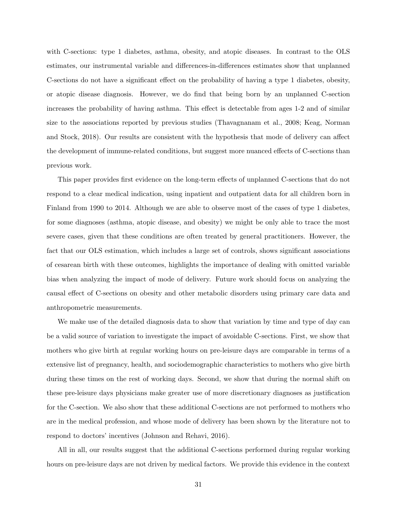with C-sections: type 1 diabetes, asthma, obesity, and atopic diseases. In contrast to the OLS estimates, our instrumental variable and differences-in-differences estimates show that unplanned C-sections do not have a significant effect on the probability of having a type 1 diabetes, obesity, or atopic disease diagnosis. However, we do find that being born by an unplanned C-section increases the probability of having asthma. This effect is detectable from ages 1-2 and of similar size to the associations reported by previous studies (Thavagnanam et al., 2008; Keag, Norman and Stock, 2018). Our results are consistent with the hypothesis that mode of delivery can affect the development of immune-related conditions, but suggest more nuanced effects of C-sections than previous work.

This paper provides first evidence on the long-term effects of unplanned C-sections that do not respond to a clear medical indication, using inpatient and outpatient data for all children born in Finland from 1990 to 2014. Although we are able to observe most of the cases of type 1 diabetes, for some diagnoses (asthma, atopic disease, and obesity) we might be only able to trace the most severe cases, given that these conditions are often treated by general practitioners. However, the fact that our OLS estimation, which includes a large set of controls, shows significant associations of cesarean birth with these outcomes, highlights the importance of dealing with omitted variable bias when analyzing the impact of mode of delivery. Future work should focus on analyzing the causal effect of C-sections on obesity and other metabolic disorders using primary care data and anthropometric measurements.

We make use of the detailed diagnosis data to show that variation by time and type of day can be a valid source of variation to investigate the impact of avoidable C-sections. First, we show that mothers who give birth at regular working hours on pre-leisure days are comparable in terms of a extensive list of pregnancy, health, and sociodemographic characteristics to mothers who give birth during these times on the rest of working days. Second, we show that during the normal shift on these pre-leisure days physicians make greater use of more discretionary diagnoses as justification for the C-section. We also show that these additional C-sections are not performed to mothers who are in the medical profession, and whose mode of delivery has been shown by the literature not to respond to doctors' incentives (Johnson and Rehavi, 2016).

All in all, our results suggest that the additional C-sections performed during regular working hours on pre-leisure days are not driven by medical factors. We provide this evidence in the context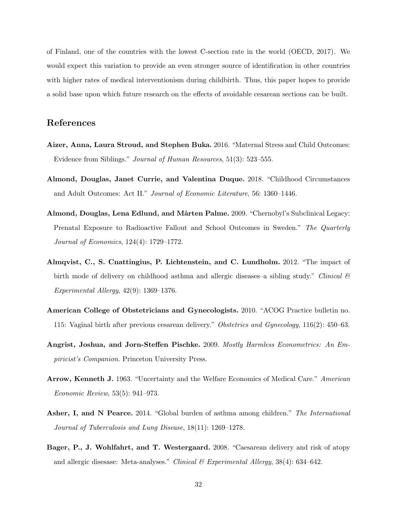of Finland, one of the countries with the lowest C-section rate in the world (OECD, 2017). We would expect this variation to provide an even stronger source of identification in other countries with higher rates of medical interventionism during childbirth. Thus, this paper hopes to provide a solid base upon which future research on the effects of avoidable cesarean sections can be built.

#### References

- Aizer, Anna, Laura Stroud, and Stephen Buka. 2016. "Maternal Stress and Child Outcomes: Evidence from Siblings." Journal of Human Resources, 51(3): 523–555.
- Almond, Douglas, Janet Currie, and Valentina Duque. 2018. "Childhood Circumstances and Adult Outcomes: Act II." Journal of Economic Literature, 56: 1360–1446.
- Almond, Douglas, Lena Edlund, and Mårten Palme. 2009. "Chernobyl's Subclinical Legacy: Prenatal Exposure to Radioactive Fallout and School Outcomes in Sweden." The Quarterly Journal of Economics, 124(4): 1729–1772.
- Almqvist, C., S. Cnattingius, P. Lichtenstein, and C. Lundholm. 2012. "The impact of birth mode of delivery on childhood asthma and allergic diseases–a sibling study." Clinical  $\mathcal{C}$ Experimental Allergy, 42(9): 1369–1376.
- American College of Obstetricians and Gynecologists. 2010. "ACOG Practice bulletin no. 115: Vaginal birth after previous cesarean delivery." Obstetrics and Gynecology, 116(2): 450–63.
- Angrist, Joshua, and Jorn-Steffen Pischke. 2009. Mostly Harmless Econometrics: An Empiricist's Companion. Princeton University Press.
- Arrow, Kenneth J. 1963. "Uncertainty and the Welfare Economics of Medical Care." American Economic Review, 53(5): 941–973.
- Asher, I, and N Pearce. 2014. "Global burden of asthma among children." The International Journal of Tuberculosis and Lung Disease, 18(11): 1269–1278.
- Bager, P., J. Wohlfahrt, and T. Westergaard. 2008. "Caesarean delivery and risk of atopy and allergic disesase: Meta-analyses." Clinical  $\mathcal B$  Experimental Allergy, 38(4): 634–642.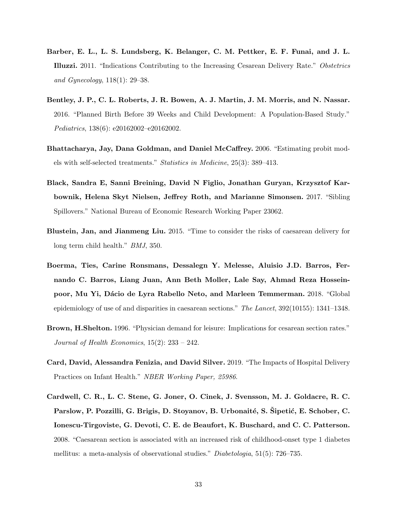- Barber, E. L., L. S. Lundsberg, K. Belanger, C. M. Pettker, E. F. Funai, and J. L. Illuzzi. 2011. "Indications Contributing to the Increasing Cesarean Delivery Rate." Obstetrics and Gynecology, 118(1): 29–38.
- Bentley, J. P., C. L. Roberts, J. R. Bowen, A. J. Martin, J. M. Morris, and N. Nassar. 2016. "Planned Birth Before 39 Weeks and Child Development: A Population-Based Study." Pediatrics, 138(6): e20162002–e20162002.
- Bhattacharya, Jay, Dana Goldman, and Daniel McCaffrey. 2006. "Estimating probit models with self-selected treatments." Statistics in Medicine, 25(3): 389–413.
- Black, Sandra E, Sanni Breining, David N Figlio, Jonathan Guryan, Krzysztof Karbownik, Helena Skyt Nielsen, Jeffrey Roth, and Marianne Simonsen. 2017. "Sibling Spillovers." National Bureau of Economic Research Working Paper 23062.
- Blustein, Jan, and Jianmeng Liu. 2015. "Time to consider the risks of caesarean delivery for long term child health." BMJ, 350.
- Boerma, Ties, Carine Ronsmans, Dessalegn Y. Melesse, Aluisio J.D. Barros, Fernando C. Barros, Liang Juan, Ann Beth Moller, Lale Say, Ahmad Reza Hosseinpoor, Mu Yi, Dácio de Lyra Rabello Neto, and Marleen Temmerman. 2018. "Global epidemiology of use of and disparities in caesarean sections." The Lancet, 392(10155): 1341–1348.
- Brown, H.Shelton. 1996. "Physician demand for leisure: Implications for cesarean section rates." Journal of Health Economics,  $15(2)$ :  $233 - 242$ .
- Card, David, Alessandra Fenizia, and David Silver. 2019. "The Impacts of Hospital Delivery Practices on Infant Health." NBER Working Paper, 25986.
- Cardwell, C. R., L. C. Stene, G. Joner, O. Cinek, J. Svensson, M. J. Goldacre, R. C. Parslow, P. Pozzilli, G. Brigis, D. Stoyanov, B. Urbonaité, S. Sipetić, E. Schober, C. Ionescu-Tirgoviste, G. Devoti, C. E. de Beaufort, K. Buschard, and C. C. Patterson. 2008. "Caesarean section is associated with an increased risk of childhood-onset type 1 diabetes mellitus: a meta-analysis of observational studies." Diabetologia, 51(5): 726–735.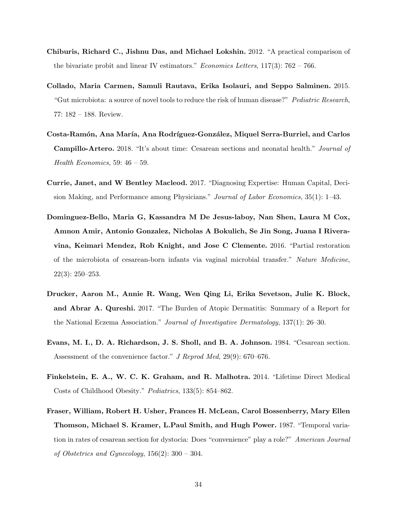- Chiburis, Richard C., Jishnu Das, and Michael Lokshin. 2012. "A practical comparison of the bivariate probit and linear IV estimators." *Economics Letters*,  $117(3)$ : 762 – 766.
- Collado, Maria Carmen, Samuli Rautava, Erika Isolauri, and Seppo Salminen. 2015. "Gut microbiota: a source of novel tools to reduce the risk of human disease?" Pediatric Research, 77: 182 – 188. Review.
- Costa-Ramón, Ana María, Ana Rodríguez-González, Miquel Serra-Burriel, and Carlos Campillo-Artero. 2018. "It's about time: Cesarean sections and neonatal health." Journal of Health Economics, 59:  $46 - 59$ .
- Currie, Janet, and W Bentley Macleod. 2017. "Diagnosing Expertise: Human Capital, Decision Making, and Performance among Physicians." Journal of Labor Economics, 35(1): 1–43.
- Dominguez-Bello, Maria G, Kassandra M De Jesus-laboy, Nan Shen, Laura M Cox, Amnon Amir, Antonio Gonzalez, Nicholas A Bokulich, Se Jin Song, Juana I Riveravina, Keimari Mendez, Rob Knight, and Jose C Clemente. 2016. "Partial restoration of the microbiota of cesarean-born infants via vaginal microbial transfer." Nature Medicine, 22(3): 250–253.
- Drucker, Aaron M., Annie R. Wang, Wen Qing Li, Erika Sevetson, Julie K. Block, and Abrar A. Qureshi. 2017. "The Burden of Atopic Dermatitis: Summary of a Report for the National Eczema Association." Journal of Investigative Dermatology, 137(1): 26–30.
- Evans, M. I., D. A. Richardson, J. S. Sholl, and B. A. Johnson. 1984. "Cesarean section. Assessment of the convenience factor." J Reprod Med, 29(9): 670–676.
- Finkelstein, E. A., W. C. K. Graham, and R. Malhotra. 2014. "Lifetime Direct Medical Costs of Childhood Obesity." Pediatrics, 133(5): 854–862.
- Fraser, William, Robert H. Usher, Frances H. McLean, Carol Bossenberry, Mary Ellen Thomson, Michael S. Kramer, L.Paul Smith, and Hugh Power. 1987. "Temporal variation in rates of cesarean section for dystocia: Does "convenience" play a role?" American Journal of Obstetrics and Gynecology,  $156(2)$ :  $300 - 304$ .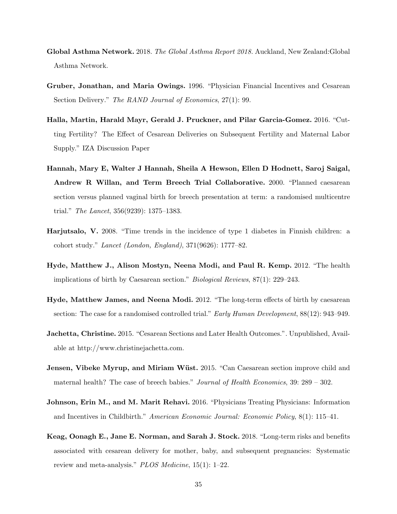- Global Asthma Network. 2018. The Global Asthma Report 2018. Auckland, New Zealand:Global Asthma Network.
- Gruber, Jonathan, and Maria Owings. 1996. "Physician Financial Incentives and Cesarean Section Delivery." The RAND Journal of Economics, 27(1): 99.
- Halla, Martin, Harald Mayr, Gerald J. Pruckner, and Pilar Garcia-Gomez. 2016. "Cutting Fertility? The Effect of Cesarean Deliveries on Subsequent Fertility and Maternal Labor Supply." IZA Discussion Paper
- Hannah, Mary E, Walter J Hannah, Sheila A Hewson, Ellen D Hodnett, Saroj Saigal, Andrew R Willan, and Term Breech Trial Collaborative. 2000. "Planned caesarean section versus planned vaginal birth for breech presentation at term: a randomised multicentre trial." The Lancet, 356(9239): 1375–1383.
- Harjutsalo, V. 2008. "Time trends in the incidence of type 1 diabetes in Finnish children: a cohort study." Lancet (London, England), 371(9626): 1777–82.
- Hyde, Matthew J., Alison Mostyn, Neena Modi, and Paul R. Kemp. 2012. "The health implications of birth by Caesarean section." Biological Reviews, 87(1): 229–243.
- Hyde, Matthew James, and Neena Modi. 2012. "The long-term effects of birth by caesarean section: The case for a randomised controlled trial." *Early Human Development*,  $88(12)$ : 943–949.
- Jachetta, Christine. 2015. "Cesarean Sections and Later Health Outcomes.". Unpublished, Available at http://www.christinejachetta.com.
- **Jensen, Vibeke Myrup, and Miriam Wüst.** 2015. "Can Caesarean section improve child and maternal health? The case of breech babies." Journal of Health Economics, 39: 289 – 302.
- Johnson, Erin M., and M. Marit Rehavi. 2016. "Physicians Treating Physicians: Information and Incentives in Childbirth." American Economic Journal: Economic Policy, 8(1): 115–41.
- Keag, Oonagh E., Jane E. Norman, and Sarah J. Stock. 2018. "Long-term risks and benefits associated with cesarean delivery for mother, baby, and subsequent pregnancies: Systematic review and meta-analysis." PLOS Medicine, 15(1): 1–22.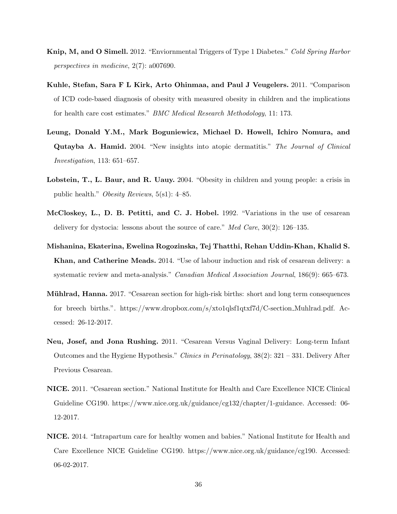- Knip, M, and O Simell. 2012. "Enviornmental Triggers of Type 1 Diabetes." Cold Spring Harbor perspectives in medicine, 2(7): a007690.
- Kuhle, Stefan, Sara F L Kirk, Arto Ohinmaa, and Paul J Veugelers. 2011. "Comparison of ICD code-based diagnosis of obesity with measured obesity in children and the implications for health care cost estimates." BMC Medical Research Methodology, 11: 173.
- Leung, Donald Y.M., Mark Boguniewicz, Michael D. Howell, Ichiro Nomura, and Qutayba A. Hamid. 2004. "New insights into atopic dermatitis." The Journal of Clinical Investigation, 113: 651–657.
- Lobstein, T., L. Baur, and R. Uauy. 2004. "Obesity in children and young people: a crisis in public health." Obesity Reviews, 5(s1): 4–85.
- McCloskey, L., D. B. Petitti, and C. J. Hobel. 1992. "Variations in the use of cesarean delivery for dystocia: lessons about the source of care." Med Care, 30(2): 126–135.
- Mishanina, Ekaterina, Ewelina Rogozinska, Tej Thatthi, Rehan Uddin-Khan, Khalid S. Khan, and Catherine Meads. 2014. "Use of labour induction and risk of cesarean delivery: a systematic review and meta-analysis." Canadian Medical Association Journal, 186(9): 665–673.
- **Mühlrad, Hanna.** 2017. "Cesarean section for high-risk births: short and long term consequences for breech births.". https://www.dropbox.com/s/xto1qlsf1qtxf7d/C-section Muhlrad.pdf. Accessed: 26-12-2017.
- Neu, Josef, and Jona Rushing. 2011. "Cesarean Versus Vaginal Delivery: Long-term Infant Outcomes and the Hygiene Hypothesis." Clinics in Perinatology, 38(2): 321 – 331. Delivery After Previous Cesarean.
- NICE. 2011. "Cesarean section." National Institute for Health and Care Excellence NICE Clinical Guideline CG190. https://www.nice.org.uk/guidance/cg132/chapter/1-guidance. Accessed: 06- 12-2017.
- NICE. 2014. "Intrapartum care for healthy women and babies." National Institute for Health and Care Excellence NICE Guideline CG190. https://www.nice.org.uk/guidance/cg190. Accessed: 06-02-2017.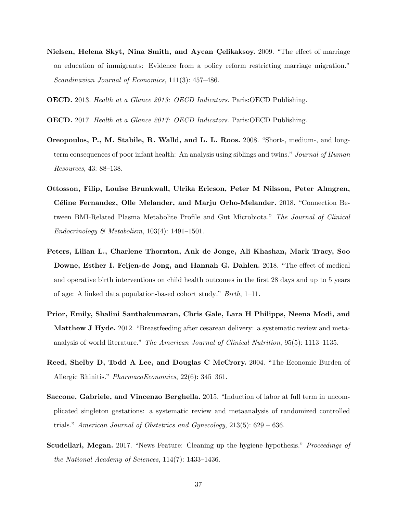- Nielsen, Helena Skyt, Nina Smith, and Aycan Çelikaksoy. 2009. "The effect of marriage on education of immigrants: Evidence from a policy reform restricting marriage migration." Scandinavian Journal of Economics, 111(3): 457–486.
- OECD. 2013. Health at a Glance 2013: OECD Indicators. Paris:OECD Publishing.
- OECD. 2017. Health at a Glance 2017: OECD Indicators. Paris:OECD Publishing.
- Oreopoulos, P., M. Stabile, R. Walld, and L. L. Roos. 2008. "Short-, medium-, and longterm consequences of poor infant health: An analysis using siblings and twins." Journal of Human Resources, 43: 88–138.
- Ottosson, Filip, Louise Brunkwall, Ulrika Ericson, Peter M Nilsson, Peter Almgren, Céline Fernandez, Olle Melander, and Marju Orho-Melander. 2018. "Connection Between BMI-Related Plasma Metabolite Profile and Gut Microbiota." The Journal of Clinical  $Endocrinology \& Metabolism, 103(4): 1491-1501.$
- Peters, Lilian L., Charlene Thornton, Ank de Jonge, Ali Khashan, Mark Tracy, Soo Downe, Esther I. Feijen-de Jong, and Hannah G. Dahlen. 2018. "The effect of medical and operative birth interventions on child health outcomes in the first 28 days and up to 5 years of age: A linked data population-based cohort study." Birth, 1–11.
- Prior, Emily, Shalini Santhakumaran, Chris Gale, Lara H Philipps, Neena Modi, and Matthew J Hyde. 2012. "Breastfeeding after cesarean delivery: a systematic review and metaanalysis of world literature." The American Journal of Clinical Nutrition, 95(5): 1113–1135.
- Reed, Shelby D, Todd A Lee, and Douglas C McCrory. 2004. "The Economic Burden of Allergic Rhinitis." PharmacoEconomics, 22(6): 345–361.
- Saccone, Gabriele, and Vincenzo Berghella. 2015. "Induction of labor at full term in uncomplicated singleton gestations: a systematic review and metaanalysis of randomized controlled trials." American Journal of Obstetrics and Gynecology,  $213(5)$ : 629 – 636.
- Scudellari, Megan. 2017. "News Feature: Cleaning up the hygiene hypothesis." Proceedings of the National Academy of Sciences, 114(7): 1433–1436.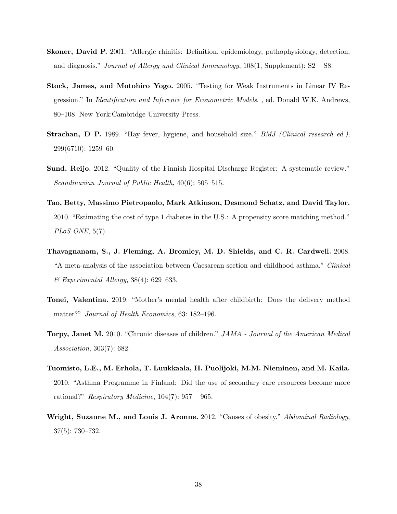- Skoner, David P. 2001. "Allergic rhinitis: Definition, epidemiology, pathophysiology, detection, and diagnosis." Journal of Allergy and Clinical Immunology,  $108(1, \text{Supplement})$ : S2 – S8.
- Stock, James, and Motohiro Yogo. 2005. "Testing for Weak Instruments in Linear IV Regression." In Identification and Inference for Econometric Models. , ed. Donald W.K. Andrews, 80–108. New York:Cambridge University Press.
- **Strachan, D P.** 1989. "Hay fever, hygiene, and household size." *BMJ (Clinical research ed.)*, 299(6710): 1259–60.
- Sund, Reijo. 2012. "Quality of the Finnish Hospital Discharge Register: A systematic review." Scandinavian Journal of Public Health, 40(6): 505–515.
- Tao, Betty, Massimo Pietropaolo, Mark Atkinson, Desmond Schatz, and David Taylor. 2010. "Estimating the cost of type 1 diabetes in the U.S.: A propensity score matching method." PLoS ONE, 5(7).
- Thavagnanam, S., J. Fleming, A. Bromley, M. D. Shields, and C. R. Cardwell. 2008. "A meta-analysis of the association between Caesarean section and childhood asthma." Clinical  $\mathcal C$  Experimental Allergy, 38(4): 629–633.
- Tonei, Valentina. 2019. "Mother's mental health after childbirth: Does the delivery method matter?" Journal of Health Economics, 63: 182–196.
- Torpy, Janet M. 2010. "Chronic diseases of children." JAMA Journal of the American Medical Association, 303(7): 682.
- Tuomisto, L.E., M. Erhola, T. Luukkaala, H. Puolijoki, M.M. Nieminen, and M. Kaila. 2010. "Asthma Programme in Finland: Did the use of secondary care resources become more rational?" Respiratory Medicine,  $104(7)$ : 957 – 965.
- Wright, Suzanne M., and Louis J. Aronne. 2012. "Causes of obesity." Abdominal Radiology, 37(5): 730–732.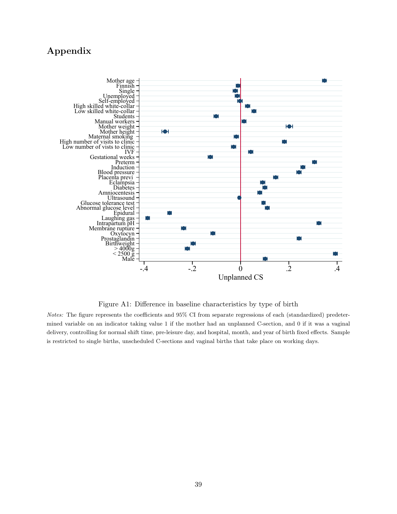### Appendix



Figure A1: Difference in baseline characteristics by type of birth

Notes: The figure represents the coefficients and 95% CI from separate regressions of each (standardized) predetermined variable on an indicator taking value 1 if the mother had an unplanned C-section, and 0 if it was a vaginal delivery, controlling for normal shift time, pre-leisure day, and hospital, month, and year of birth fixed effects. Sample is restricted to single births, unscheduled C-sections and vaginal births that take place on working days.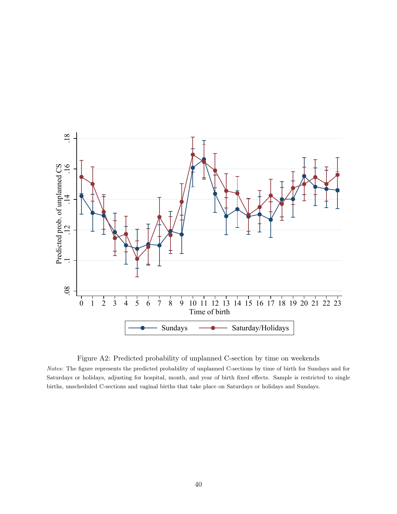

Figure A2: Predicted probability of unplanned C-section by time on weekends

Notes: The figure represents the predicted probability of unplanned C-sections by time of birth for Sundays and for Saturdays or holidays, adjusting for hospital, month, and year of birth fixed effects. Sample is restricted to single births, unscheduled C-sections and vaginal births that take place on Saturdays or holidays and Sundays.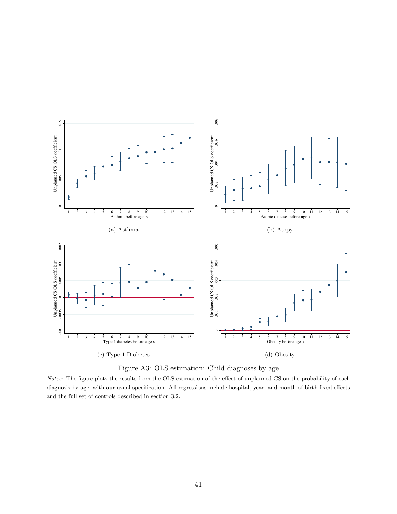

Figure A3: OLS estimation: Child diagnoses by age

Notes: The figure plots the results from the OLS estimation of the effect of unplanned CS on the probability of each diagnosis by age, with our usual specification. All regressions include hospital, year, and month of birth fixed effects and the full set of controls described in section 3.2.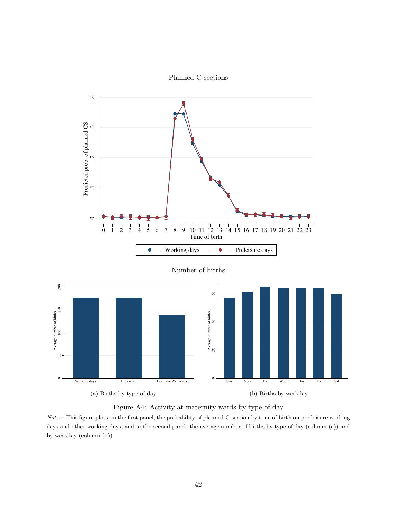



Figure A4: Activity at maternity wards by type of day

Notes: This figure plots, in the first panel, the probability of planned C-section by time of birth on pre-leisure working days and other working days, and in the second panel, the average number of births by type of day (column (a)) and by weekday (column (b)).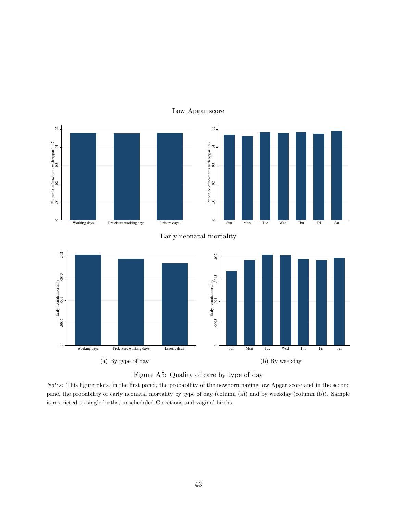

#### Low Apgar score



Notes: This figure plots, in the first panel, the probability of the newborn having low Apgar score and in the second panel the probability of early neonatal mortality by type of day (column (a)) and by weekday (column (b)). Sample is restricted to single births, unscheduled C-sections and vaginal births.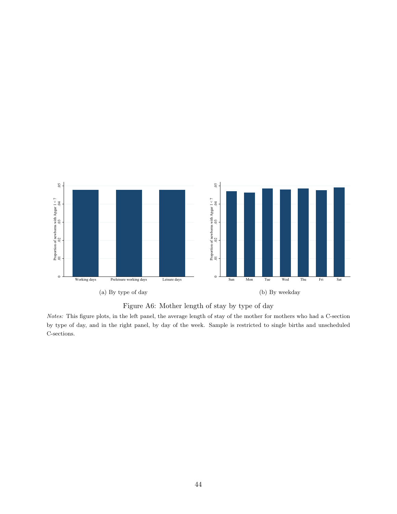



Notes: This figure plots, in the left panel, the average length of stay of the mother for mothers who had a C-section by type of day, and in the right panel, by day of the week. Sample is restricted to single births and unscheduled C-sections.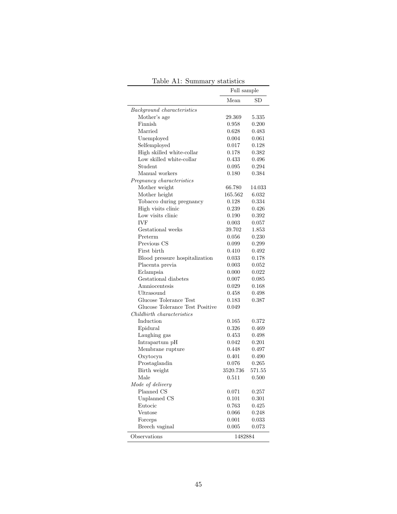|                                  | Full sample |             |
|----------------------------------|-------------|-------------|
|                                  | Mean        | $_{\rm SD}$ |
| Background characteristics       |             |             |
| Mother's age                     | 29.369      | 5.335       |
| Finnish                          | 0.958       | 0.200       |
| Married                          | 0.628       | 0.483       |
| Unemployed                       | 0.004       | 0.061       |
| Selfemployed                     | 0.017       | 0.128       |
| High skilled white-collar        | 0.178       | 0.382       |
| Low skilled white-collar         | 0.433       | 0.496       |
| Student                          | 0.095       | 0.294       |
| Manual workers                   | 0.180       | 0.384       |
| Pregnancy characteristics        |             |             |
| Mother weight                    | 66.780      | 14.033      |
| Mother height                    | 165.562     | 6.032       |
| Tobacco during pregnancy         | 0.128       | 0.334       |
| High visits clinic               | 0.239       | 0.426       |
| Low visits clinic                | 0.190       | 0.392       |
| <b>IVF</b>                       | 0.003       | 0.057       |
| Gestational weeks                | 39.702      | 1.853       |
| Preterm                          | 0.056       | 0.230       |
| Previous CS                      | 0.099       | 0.299       |
| First birth                      | 0.410       | 0.492       |
| Blood pressure hospitalization   | 0.033       | 0.178       |
| Placenta previa                  | 0.003       | 0.052       |
| Eclampsia                        | 0.000       | 0.022       |
| Gestational diabetes             | 0.007       | 0.085       |
| Amniocentesis                    | 0.029       | 0.168       |
| Ultrasound                       | 0.458       | 0.498       |
| Glucose Tolerance Test           | 0.183       | 0.387       |
| Glucose Tolerance Test Positive  | 0.049       |             |
| Childbirth characteristics       |             |             |
| Induction                        | 0.165       | 0.372       |
| Epidural                         | 0.326       | 0.469       |
| Laughing gas                     | 0.453       | 0.498       |
| Intrapartum $\mathbf p\mathbf H$ | 0.042       | 0.201       |
| Membrane rupture                 | 0.448       | 0.497       |
| Oxytocyn                         | 0.401       | 0.490       |
| Prostaglandin                    | 0.076       | 0.265       |
| Birth weight                     | 3520.736    | 571.55      |
| Male                             | 0.511       | 0.500       |
| Mode of delivery                 |             |             |
| Planned CS                       | 0.071       | 0.257       |
| Unplanned CS                     | 0.101       | 0.301       |
| Eutocic                          | 0.763       | 0.425       |
| Ventose                          | 0.066       | 0.248       |
| Forceps                          | 0.001       | 0.033       |
| Breech vaginal                   | 0.005       | 0.073       |
| Observations                     | 1482884     |             |

Table A1: Summary statistics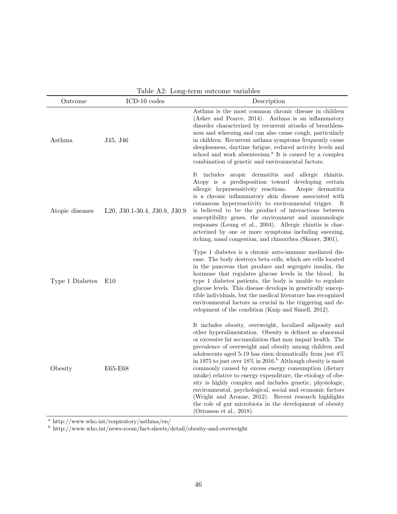| Table A2: Long-term outcome variables |                               |                                                                                                                                                                                                                                                                                                                                                                                                                                                                                                                                                                                                                                                                                                                                                                                            |  |
|---------------------------------------|-------------------------------|--------------------------------------------------------------------------------------------------------------------------------------------------------------------------------------------------------------------------------------------------------------------------------------------------------------------------------------------------------------------------------------------------------------------------------------------------------------------------------------------------------------------------------------------------------------------------------------------------------------------------------------------------------------------------------------------------------------------------------------------------------------------------------------------|--|
| Outcome                               | ICD-10 codes                  | Description                                                                                                                                                                                                                                                                                                                                                                                                                                                                                                                                                                                                                                                                                                                                                                                |  |
| Asthma                                | J45, J46                      | Asthma is the most common chronic disease in children<br>(Asher and Pearce, 2014). Asthma is an inflammatory<br>disorder characterized by recurrent attacks of breathless-<br>ness and wheezing and can also cause cough, particularly<br>in children. Recurrent asthma symptoms frequently cause<br>sleeplessness, daytime fatigue, reduced activity levels and<br>school and work absenteeism. <sup>a</sup> It is caused by a complex<br>combination of genetic and environmental factors.                                                                                                                                                                                                                                                                                               |  |
| Atopic diseases                       | L20, J30.1-30.4, J30.8, J30.9 | It includes atopic dermatitis and allergic rhinitis.<br>Atopy is a predisposition toward developing certain<br>allergic hypersensitivity reactions.<br>Atopic dermatitis<br>is a chronic inflammatory skin disease associated with<br>cutaneous hyperreactivity to environmental trigger.<br>- It<br>is believed to be the product of interactions between<br>susceptibility genes, the environment and immunologic<br>responses (Leung et al., 2004). Allergic rhinitis is char-<br>acterized by one or more symptoms including sneezing,<br>itching, nasal congestion, and rhinorrhea (Skoner, 2001).                                                                                                                                                                                    |  |
| Type 1 Diabetes                       | E10                           | Type 1 diabetes is a chronic auto-immune mediated dis-<br>ease. The body destroys beta cells, which are cells located<br>in the pancreas that produce and segregate insulin, the<br>hormone that regulates glucose levels in the blood. In<br>type 1 diabetes patients, the body is unable to regulate<br>glucose levels. This disease develops in genetically suscep-<br>tible individuals, but the medical literature has recognized<br>environmental factors as crucial in the triggering and de-<br>velopment of the condition (Knip and Simell, 2012).                                                                                                                                                                                                                                |  |
| Obesity                               | E65-E68                       | It includes obesity, overweight, localized adiposity and<br>other hyperalimentation. Obesity is defined as abnormal<br>or excessive fat accumulation that may impair health. The<br>prevalence of overweight and obesity among children and<br>adolescents aged 5-19 has risen dramatically from just $4\%$<br>in 1975 to just over 18% in 2016. <sup>b</sup> Although obesity is most<br>commonly caused by excess energy consumption (dietary<br>intake) relative to energy expenditure, the etiology of obe-<br>sity is highly complex and includes genetic, physiologic,<br>environmental, psychological, social and economic factors<br>(Wright and Aronne, 2012). Recent research highlights<br>the role of gut microbiota in the development of obesity<br>(Ottosson et al., 2018). |  |

 $Table 4.9: Long-term outcome variable$ 

<sup>a</sup> http://www.who.int/respiratory/asthma/en/

<sup>b</sup> http://www.who.int/news-room/fact-sheets/detail/obesity-and-overweight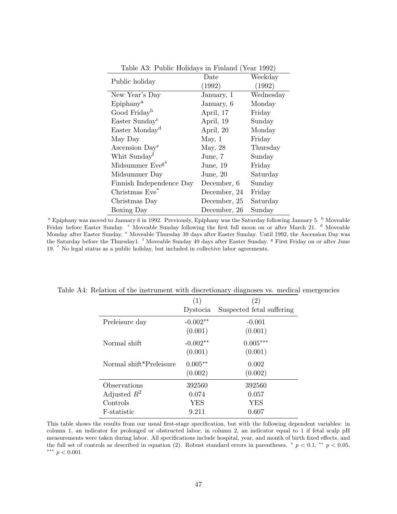|                             | Date         | Weekday   |  |
|-----------------------------|--------------|-----------|--|
| Public holiday              | (1992)       | (1992)    |  |
| New Year's Day              | January, 1   | Wednesday |  |
| Epiphany <sup>a</sup>       | January, 6   | Monday    |  |
| Good Friday <sup>b</sup>    | April, 17    | Friday    |  |
| Easter Sunday <sup>c</sup>  | April, 19    | Sunday    |  |
| Easter Monday <sup>d</sup>  | April, 20    | Monday    |  |
| May Day                     | May, 1       | Friday    |  |
| Ascension Day <sup>e</sup>  | May, 28      | Thursday  |  |
| Whit Sunday <sup>f</sup>    | June, 7      | Sunday    |  |
| Midsummer Eve <sup>g*</sup> | June, $19$   | Friday    |  |
| Midsummer Day               | June, $20$   | Saturday  |  |
| Finnish Independence Day    | December, 6  | Sunday    |  |
| Christmas Eve <sup>*</sup>  | December, 24 | Friday    |  |
| Christmas Day               | December, 25 | Saturday  |  |
| Boxing Day                  | December, 26 | Sunday    |  |

Table A3: Public Holidays in Finland (Year 1992)

|                         | (1)        | (2)                       |
|-------------------------|------------|---------------------------|
|                         | Dystocia   | Suspected fetal suffering |
| Preleisure day          | $-0.002**$ | $-0.001$                  |
|                         | (0.001)    | (0.001)                   |
| Normal shift            | $-0.002**$ | $0.005***$                |
|                         | (0.001)    | (0.001)                   |
| Normal shift*Preleisure | $0.005**$  | 0.002                     |
|                         | (0.002)    | (0.002)                   |
| Observations            | 392560     | 392560                    |
| Adjusted $R^2$          | 0.074      | 0.057                     |
| Controls                | YES        | YES                       |
| F-statistic             | 9.211      | 0.607                     |

Table A4: Relation of the instrument with discretionary diagnoses vs. medical emergencies

This table shows the results from our usual first-stage specification, but with the following dependent variables: in column 1, an indicator for prolonged or obstructed labor; in column 2, an indicator equal to 1 if fetal scalp pH measurements were taken during labor. All specifications include hospital, year, and month of birth fixed effects, and the full set of controls as described in equation (2). Robust standard errors in parentheses.  $* p < 0.1$ ,  $* p < 0.05$ , ∗∗∗ p < 0.001

<sup>&</sup>lt;sup>a</sup> Epiphany was moved to January 6 in 1992. Previously, Epiphany was the Saturday following January 5.  $\frac{b}{2}$  Moveable Friday before Easter Sunday. <sup>c</sup> Moveable Sunday following the first full moon on or after March 21. <sup>d</sup> Moveable Monday after Easter Sunday. <sup>e</sup> Moveable Thursday 39 days after Easter Sunday. Until 1992, the Ascension Day was the Saturday before the Thursday1. <sup>f</sup> Moveable Sunday 49 days after Easter Sunday. <sup>g</sup> First Friday on or after June 19. \* No legal status as a public holiday, but included in collective labor agreements.